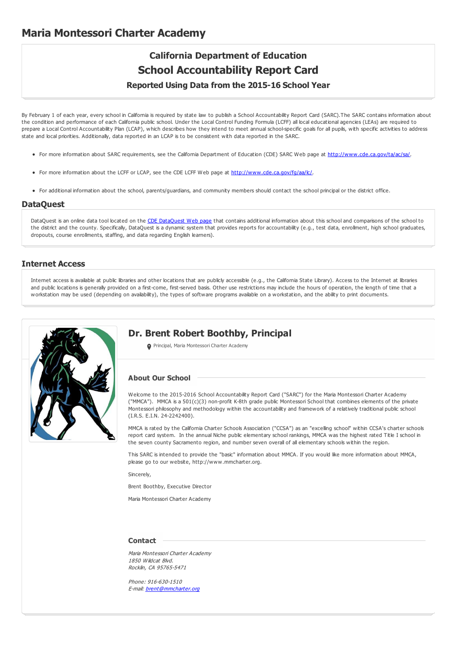## **California Department of Education School Accountability Report Card Reported Using Data from the 2015-16 School Year**

By February 1 of each year, every school in California is required by state law to publish a School Accountability Report Card (SARC).The SARC contains information about the condition and performance of each California public school. Under the Local Control Funding Formula (LCFF) all local educational agencies (LEAs) are required to prepare a Local Control Accountability Plan (LCAP), which describes how they intend to meet annual school-specific goals for all pupils, with specific activities to address state and local priorities. Additionally, data reported in an LCAP is to be consistent with data reported in the SARC.

- For more information about SARC requirements, see the California Department of Education (CDE) SARC Web page at <http://www.cde.ca.gov/ta/ac/sa/>.
- For more information about the LCFF or LCAP, see the CDE LCFF Web page at <http://www.cde.ca.gov/fg/aa/lc/>.
- For additional information about the school, parents/guardians, and community members should contact the school principal or the district office.

#### **DataQuest**

[DataQuest](http://dq.cde.ca.gov/dataquest/) is an online data tool located on the CDE DataQuest Web page that contains additional information about this school and comparisons of the school to the district and the county. Specifically, DataQuest is a dynamic system that provides reports for accountability (e.g., test data, enrollment, high school graduates, dropouts, course enrollments, staffing, and data regarding English learners).

#### **Internet Access**

Internet access is available at public libraries and other locations that are publicly accessible (e.g., the California State Library). Access to the Internet at libraries and public locations is generally provided on a first-come, first-served basis. Other use restrictions may include the hours of operation, the length of time that a workstation may be used (depending on availability), the types of software programs available on a workstation, and the ability to print documents.



## **Dr. Brent Robert Boothby, Principal**

**O** Principal, Maria Montessori Charter Academy

#### **About Our School**

Welcome to the 2015-2016 School Accountability Report Card ("SARC") for the Maria Montessori Charter Academy ("MMCA"). MMCA is a 501(c)(3) non-profit K-8th grade public Montessori School that combines elements of the private Montessori philosophy and methodology within the accountability and framework of a relatively traditional public school (I.R.S. E.I.N. 24-2242400).

MMCA is rated by the California Charter Schools Association ("CCSA") as an "excelling school" within CCSA's charter schools report card system. In the annual Niche public elementary school rankings, MMCA was the highest rated Title I school in the seven county Sacramento region, and number seven overall of all elementary schools within the region.

This SARC is intended to provide the "basic" information about MMCA. If you would like more information about MMCA, please go to our website, http://www.mmcharter.org.

Sincerely,

Brent Boothby, Executive Director

Maria Montessori Charter Academy

#### **Contact**

Maria Montessori Charter Academy 1850 Wildcat Blvd. Rocklin, CA 95765-5471

Phone: 916-630-1510 E-mail: [brent@mmcharter.org](mailto:brent@mmcharter.org)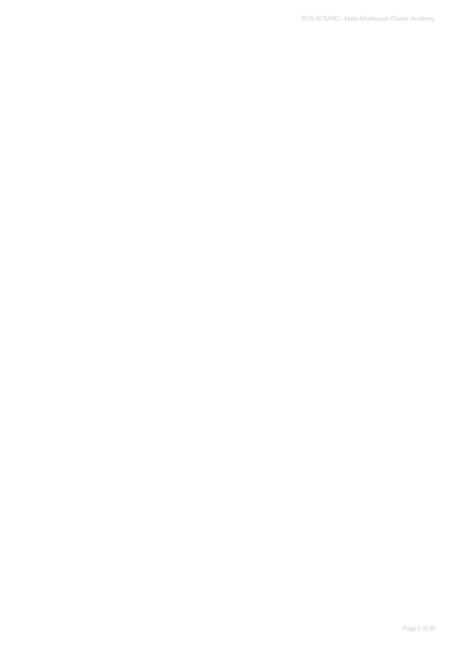2015-16 SARC - Maria Montessori Charter Academy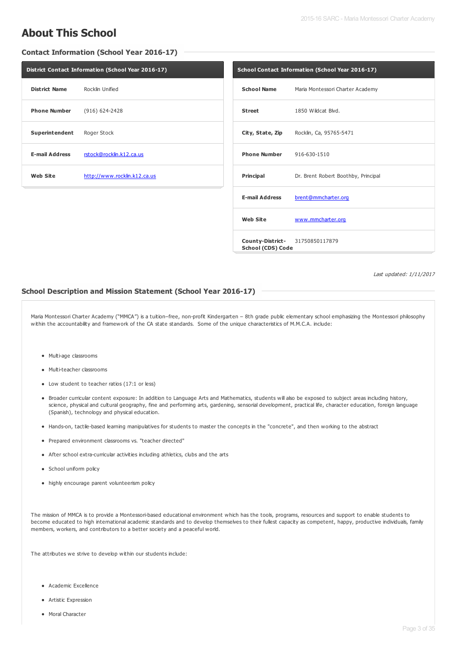## **About This School**

#### **Contact Information (School Year 2016-17)**

| District Contact Information (School Year 2016-17) |                              |  |  |
|----------------------------------------------------|------------------------------|--|--|
| <b>District Name</b>                               | Rocklin Unified              |  |  |
| <b>Phone Number</b>                                | (916) 624-2428               |  |  |
| Superintendent                                     | Roger Stock                  |  |  |
| <b>E-mail Address</b>                              | rstock@rocklin.k12.ca.us     |  |  |
| <b>Web Site</b>                                    | http://www.rocklin.k12.ca.us |  |  |

| School Contact Information (School Year 2016-17) |                                                     |  |  |
|--------------------------------------------------|-----------------------------------------------------|--|--|
|                                                  | <b>School Name</b> Maria Montessori Charter Academy |  |  |
| <b>Street</b>                                    | 1850 Wildcat Blvd.                                  |  |  |
|                                                  | City, State, Zip Rocklin, Ca, 95765-5471            |  |  |
| <b>Phone Number</b> 916-630-1510                 |                                                     |  |  |
| Principal                                        | Dr. Brent Robert Boothby, Principal                 |  |  |
| <b>E-mail Address</b>                            | brent@mmcharter.org                                 |  |  |
| <b>Web Site</b>                                  | www.mmcharter.org                                   |  |  |
| <b>School (CDS) Code</b>                         | County-District- 31750850117879                     |  |  |

Last updated: 1/11/2017

#### **School Description and Mission Statement (School Year 2016-17)**

Maria Montessori Charter Academy ("MMCA") is a tuition–free, non-profit Kindergarten – 8th grade public elementary school emphasizing the Montessori philosophy within the accountability and framework of the CA state standards. Some of the unique characteristics of M.M.C.A. include:

- Multi-age classrooms
- Multi-teacher classrooms
- Low student to teacher ratios (17:1 or less)
- Broader curricular content exposure: In addition to Language Arts and Mathematics, students will also be exposed to subject areas including history, science, physical and cultural geography, fine and performing arts, gardening, sensorial development, practical life, character education, foreign language (Spanish), technology and physical education.
- Hands-on, tactile-based learning manipulatives for students to master the concepts in the "concrete", and then working to the abstract
- Prepared environment classrooms vs. "teacher directed"
- After school extra-curricular activities including athletics, clubs and the arts
- School uniform policy
- highly encourage parent volunteerism policy

The mission of MMCA is to provide a Montessori-based educational environment which has the tools, programs, resources and support to enable students to become educated to high international academic standards and to develop themselves to their fullest capacity as competent, happy, productive individuals, family members, workers, and contributors to a better society and a peaceful world.

The attributes we strive to develop within our students include:

- Academic Excellence
- Artistic Expression
- Moral Character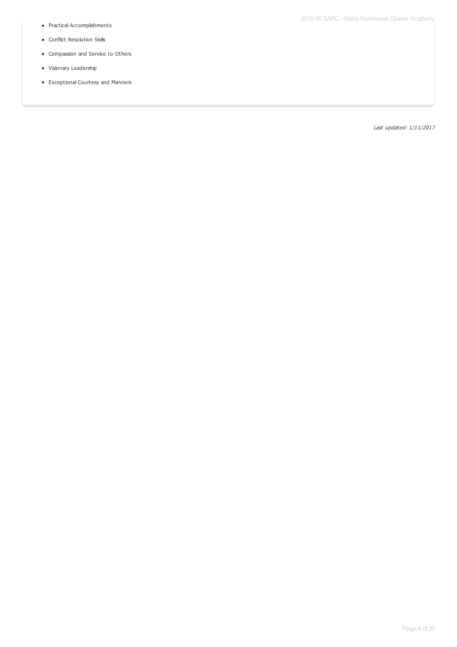- Practical Accomplishments
- Conflict Resolution Skills
- Compassion and Service to Others
- Visionary Leadership
- Exceptional Courtesy and Manners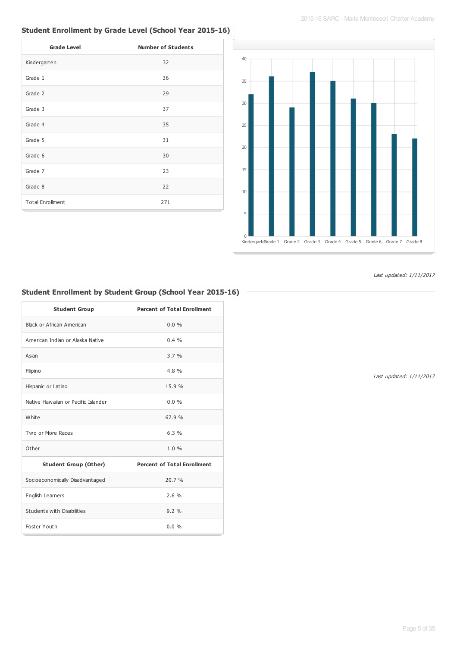### **Student Enrollment by Grade Level (School Year 2015-16)**

| <b>Grade Level</b>      | <b>Number of Students</b> |
|-------------------------|---------------------------|
| Kindergarten            | 32                        |
| Grade 1                 | 36                        |
| Grade 2                 | 29                        |
| Grade 3                 | 37                        |
| Grade 4                 | 35                        |
| Grade 5                 | 31                        |
| Grade 6                 | 30                        |
| Grade 7                 | 23                        |
| Grade 8                 | 22                        |
| <b>Total Enrollment</b> | 271                       |



Last updated: 1/11/2017

## **Student Enrollment by Student Group (School Year 2015-16)**

| <b>Student Group</b>                | <b>Percent of Total Enrollment</b> |
|-------------------------------------|------------------------------------|
| Black or African American           | $0.0\%$                            |
| American Indian or Alaska Native    | 0.4%                               |
| Asian                               | 3.7%                               |
| Filipino                            | 4.8%                               |
| Hispanic or Latino                  | 15.9 %                             |
| Native Hawaiian or Pacific Islander | $0.0\%$                            |
| White                               | 67.9%                              |
| Two or More Races                   | 6.3%                               |
| Other                               | 1.0%                               |
| <b>Student Group (Other)</b>        | <b>Percent of Total Enrollment</b> |
| Socioeconomically Disadvantaged     | 20.7%                              |
| English Learners                    | 2.6%                               |
| Students with Disabilities          | 9.2 %                              |
| Foster Youth                        | 0.0%                               |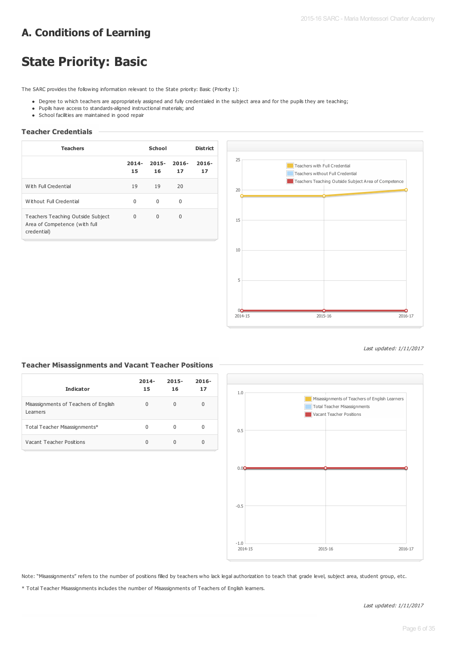# **A. Conditions of Learning**

# **State Priority: Basic**

The SARC provides the following information relevant to the State priority: Basic (Priority 1):

- . Degree to which teachers are appropriately assigned and fully credentialed in the subject area and for the pupils they are teaching;
- Pupils have access to standards-aligned instructional materials; and
- School facilities are maintained in good repair

#### **Teacher Credentials**

| <b>Teachers</b>                                                                   |                | School         |                | <b>District</b> |
|-----------------------------------------------------------------------------------|----------------|----------------|----------------|-----------------|
|                                                                                   | $2014 -$<br>15 | $2015 -$<br>16 | $2016 -$<br>17 | $2016 -$<br>17  |
| With Full Credential                                                              | 19             | 19             | 20             |                 |
| Without Full Credential                                                           | $\Omega$       | $\Omega$       | 0              |                 |
| Teachers Teaching Outside Subject<br>Area of Competence (with full<br>credential) | $\Omega$       | $\Omega$       | $\Omega$       |                 |



Last updated: 1/11/2017

#### **Teacher Misassignments and Vacant Teacher Positions**

| <b>Indicator</b>                                  | $2014 -$<br>15 | $2015 -$<br>16 | $2016 -$<br>17 |
|---------------------------------------------------|----------------|----------------|----------------|
| Misassignments of Teachers of English<br>Learners | 0              | $\Omega$       | 0              |
| Total Teacher Misassignments*                     | 0              | O              | 0              |
| Vacant Teacher Positions                          | U              | n              | 0              |



Note: "Misassignments" refers to the number of positions filled by teachers who lack legal authorization to teach that grade level, subject area, student group, etc.

\* Total Teacher Misassignments includes the number of Misassignments of Teachers of English learners.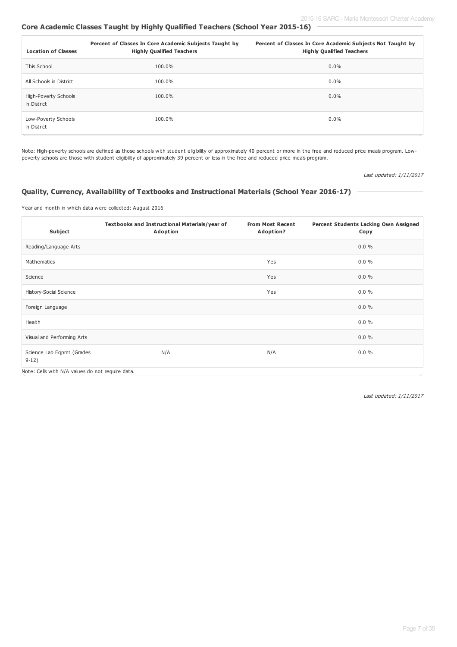#### **Core Academic Classes Taught by Highly Qualified Teachers (School Year 2015-16)**

| <b>Location of Classes</b>          | Percent of Classes In Core Academic Subjects Taught by<br><b>Highly Qualified Teachers</b> | Percent of Classes In Core Academic Subjects Not Taught by<br><b>Highly Qualified Teachers</b> |
|-------------------------------------|--------------------------------------------------------------------------------------------|------------------------------------------------------------------------------------------------|
| This School                         | 100.0%                                                                                     | $0.0\%$                                                                                        |
| All Schools in District             | 100.0%                                                                                     | $0.0\%$                                                                                        |
| High-Poverty Schools<br>in District | 100.0%                                                                                     | $0.0\%$                                                                                        |
| Low-Poverty Schools<br>in District  | 100.0%                                                                                     | $0.0\%$                                                                                        |

Note: High-poverty schools are defined as those schools with student eligibility of approximately 40 percent or more in the free and reduced price meals program. Lowpoverty schools are those with student eligibility of approximately 39 percent or less in the free and reduced price meals program.

Last updated: 1/11/2017

#### **Quality, Currency, Availability of Textbooks and Instructional Materials (School Year 2016-17)**

Year and month in which data were collected: August 2016

| Subject                                          | Textbooks and Instructional Materials/year of<br>Adoption | <b>From Most Recent</b><br>Adoption? | <b>Percent Students Lacking Own Assigned</b><br>Copy |
|--------------------------------------------------|-----------------------------------------------------------|--------------------------------------|------------------------------------------------------|
| Reading/Language Arts                            |                                                           |                                      | $0.0 \%$                                             |
| Mathematics                                      |                                                           | Yes                                  | $0.0 \%$                                             |
| Science                                          |                                                           | Yes                                  | $0.0 \%$                                             |
| History-Social Science                           |                                                           | Yes                                  | $0.0 \%$                                             |
| Foreign Language                                 |                                                           |                                      | $0.0 \%$                                             |
| Health                                           |                                                           |                                      | $0.0 \%$                                             |
| Visual and Performing Arts                       |                                                           |                                      | $0.0 \%$                                             |
| Science Lab Eqpmt (Grades<br>$9-12)$             | N/A                                                       | N/A                                  | $0.0 \%$                                             |
| Note: Cells with N/A values do not require data. |                                                           |                                      |                                                      |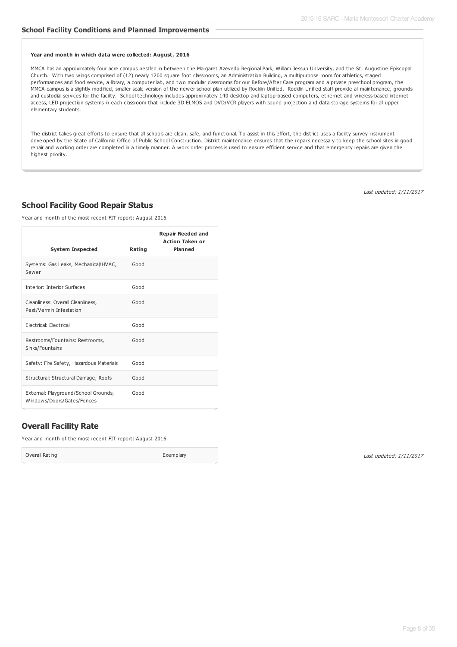#### **School Facility Conditions and Planned Improvements**

#### **Year and month in which data were collected: August, 2016**

MMCA has an approximately four acre campus nestled in between the Margaret Azevedo Regional Park, William Jessup University, and the St. Augustine Episcopal Church. With two wings comprised of (12) nearly 1200 square foot classrooms, an Administration Building, a multipurpose room for athletics, staged performances and food service, a library, a computer lab, and two modular classrooms for our Before/After Care program and a private preschool program, the MMCA campus is a slightly modified, smaller scale version of the newer school plan utilized by Rocklin Unified. Rocklin Unified staff provide all maintenance, grounds and custodial services for the facility. School technology includes approximately 140 desktop and laptop-based computers, ethernet and wireless-based internet access, LED projection systems in each classroom that include 3D ELMOS and DVD/VCR players with sound projection and data storage systems for all upper elementary students.

The district takes great efforts to ensure that all schools are clean, safe, and functional. To assist in this effort, the district uses a facility survey instrument developed by the State of California Office of Public School Construction. District maintenance ensures that the repairs necessary to keep the school sites in good repair and working order are completed in a timely manner. A work order process is used to ensure efficient service and that emergency repairs are given the highest priority.

Last updated: 1/11/2017

#### **School Facility Good Repair Status**

Year and month of the most recent FIT report: August 2016

| <b>System Inspected</b>                                            | Rating | <b>Repair Needed and</b><br><b>Action Taken or</b><br><b>Planned</b> |
|--------------------------------------------------------------------|--------|----------------------------------------------------------------------|
| Systems: Gas Leaks, Mechanical/HVAC,<br>Sewer                      | Good   |                                                                      |
| Interior: Interior Surfaces                                        | Good   |                                                                      |
| Cleanliness: Overall Cleanliness,<br>Pest/Vermin Infestation       | Good   |                                                                      |
| Electrical: Electrical                                             | Good   |                                                                      |
| Restrooms/Fountains: Restrooms,<br>Sinks/Fountains                 | Good   |                                                                      |
| Safety: Fire Safety, Hazardous Materials                           | Good   |                                                                      |
| Structural: Structural Damage, Roofs                               | Good   |                                                                      |
| External: Playground/School Grounds,<br>Windows/Doors/Gates/Fences | Good   |                                                                      |

#### **Overall Facility Rate**

Year and month of the most recent FIT report: August 2016

Overall Rating **Exemplary** Exemplary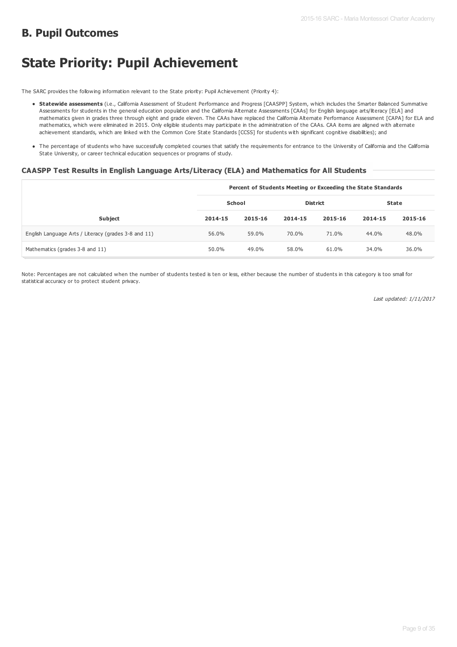## **B. Pupil Outcomes**

# **State Priority: Pupil Achievement**

The SARC provides the following information relevant to the State priority: Pupil Achievement (Priority 4):

- **Statewide assessments** (i.e., California Assessment of Student Performance and Progress [CAASPP] System, which includes the Smarter Balanced Summative Assessments for students in the general education population and the California Alternate Assessments [CAAs] for English language arts/literacy [ELA] and mathematics given in grades three through eight and grade eleven. The CAAs have replaced the California Alternate Performance Assessment [CAPA] for ELA and mathematics, which were eliminated in 2015. Only eligible students may participate in the administration of the CAAs. CAA items are aligned with alternate achievement standards, which are linked with the Common Core State Standards [CCSS] for students with significant cognitive disabilities); and
- The percentage of students who have successfully completed courses that satisfy the requirements for entrance to the University of California and the California State University, or career technical education sequences or programs of study.

#### **CAASPP Test Results in English Language Arts/Literacy (ELA) and Mathematics for All Students**

|                                                      |               |         |                 |         | Percent of Students Meeting or Exceeding the State Standards |         |
|------------------------------------------------------|---------------|---------|-----------------|---------|--------------------------------------------------------------|---------|
|                                                      | <b>School</b> |         | <b>District</b> |         | <b>State</b>                                                 |         |
| <b>Subject</b>                                       | 2014-15       | 2015-16 | 2014-15         | 2015-16 | 2014-15                                                      | 2015-16 |
| English Language Arts / Literacy (grades 3-8 and 11) | 56.0%         | 59.0%   | 70.0%           | 71.0%   | 44.0%                                                        | 48.0%   |
| Mathematics (grades 3-8 and 11)                      | 50.0%         | 49.0%   | 58.0%           | 61.0%   | 34.0%                                                        | 36.0%   |

Note: Percentages are not calculated when the number of students tested is ten or less, either because the number of students in this category is too small for statistical accuracy or to protect student privacy.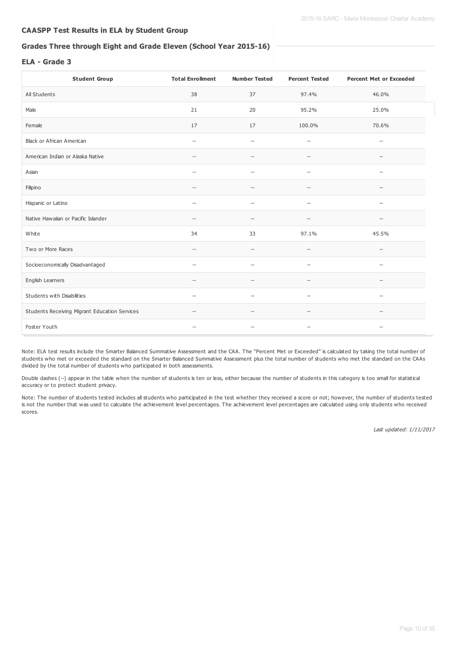#### **CAASPP Test Results in ELA by Student Group**

#### **Grades Three through Eight and Grade Eleven (School Year 2015-16)**

#### **ELA - Grade 3**

| <b>Student Group</b>                          | <b>Total Enrollment</b>                             | <b>Number Tested</b>                                | <b>Percent Tested</b>                               | <b>Percent Met or Exceeded</b>                      |
|-----------------------------------------------|-----------------------------------------------------|-----------------------------------------------------|-----------------------------------------------------|-----------------------------------------------------|
| All Students                                  | 38                                                  | 37                                                  | 97.4%                                               | 46.0%                                               |
| Male                                          | 21                                                  | 20                                                  | 95.2%                                               | 25.0%                                               |
| Female                                        | 17                                                  | 17                                                  | 100.0%                                              | 70.6%                                               |
| Black or African American                     | $\hspace{0.05cm} -\hspace{0.05cm}$                  | $\hspace{0.05cm} -\hspace{0.05cm} -\hspace{0.05cm}$ | $-\!$                                               | $\hspace{0.05cm} -\hspace{0.05cm}$                  |
| American Indian or Alaska Native              | $\hspace{0.05cm} -\hspace{0.05cm} -\hspace{0.05cm}$ | $\qquad \qquad -$                                   | $\hspace{0.05cm} -\hspace{0.05cm} -\hspace{0.05cm}$ | $\hspace{0.05cm} -\hspace{0.05cm}$                  |
| Asian                                         | $\hspace{0.05cm} -\hspace{0.05cm} -\hspace{0.05cm}$ | $\hspace{0.05cm} \ldots$                            | $\hspace{0.05cm} -\hspace{0.05cm} -\hspace{0.05cm}$ | $\hspace{0.05cm} -\hspace{0.05cm}$                  |
| Filipino                                      | $\overline{\phantom{a}}$                            | $\hspace{0.05cm} -\hspace{0.05cm} -\hspace{0.05cm}$ | $\overline{\phantom{a}}$                            | $\hspace{0.05cm} -\hspace{0.05cm} -\hspace{0.05cm}$ |
| Hispanic or Latino                            | $\hspace{0.05cm} \ldots$                            | $\hspace{0.05cm} \ldots$                            | $\overline{\phantom{a}}$                            | $\hspace{0.05cm} \ldots$                            |
| Native Hawaiian or Pacific Islander           | $\hspace{0.05cm} \ldots$                            | $\hspace{0.05cm} -$                                 | $\hspace{0.05cm} -\hspace{0.05cm} -\hspace{0.05cm}$ | $-\!$                                               |
| White                                         | 34                                                  | 33                                                  | 97.1%                                               | 45.5%                                               |
| Two or More Races                             | $\hspace{0.05cm} -\hspace{0.05cm}$                  | $\hspace{0.05cm} \ldots$                            | $\overline{\phantom{a}}$                            | $\overline{\phantom{a}}$                            |
| Socioeconomically Disadvantaged               | $\hspace{0.05cm} \ldots$                            | $\hspace{0.05cm} \ldots$                            | $\overline{\phantom{a}}$                            | $\hspace{0.05cm} -$                                 |
| English Learners                              | $\hspace{0.05cm} -\hspace{0.05cm} -\hspace{0.05cm}$ | $-$                                                 | $-\!$                                               | $\hspace{0.05cm} -\hspace{0.05cm} -\hspace{0.05cm}$ |
| Students with Disabilities                    | $\hspace{0.05cm} -$                                 | $\overline{\phantom{a}}$                            | $\overline{\phantom{a}}$                            | $\hspace{0.05cm} -$                                 |
| Students Receiving Migrant Education Services | $\hspace{0.05cm} -\hspace{0.05cm} -\hspace{0.05cm}$ | $-$                                                 | $-\!$                                               | $-\!$                                               |
| Foster Youth                                  | $\overline{\phantom{a}}$                            | $\hspace{0.05cm} -$                                 | $\hspace{0.05cm} -\hspace{0.05cm} -\hspace{0.05cm}$ | $\hspace{0.05cm} -\hspace{0.05cm} -\hspace{0.05cm}$ |

Note: ELA test results include the Smarter Balanced Summative Assessment and the CAA. The "Percent Met or Exceeded" is calculated by taking the total number of students who met or exceeded the standard on the Smarter Balanced Summative Assessment plus the total number of students who met the standard on the CAAs divided by the total number of students who participated in both assessments.

Double dashes (--) appear in the table when the number of students is ten or less, either because the number of students in this category is too small for statistical accuracy or to protect student privacy.

Note: The number of students tested includes all students who participated in the test whether they received a score or not; however, the number of students tested is not the number that was used to calculate the achievement level percentages. The achievement level percentages are calculated using only students who received scores.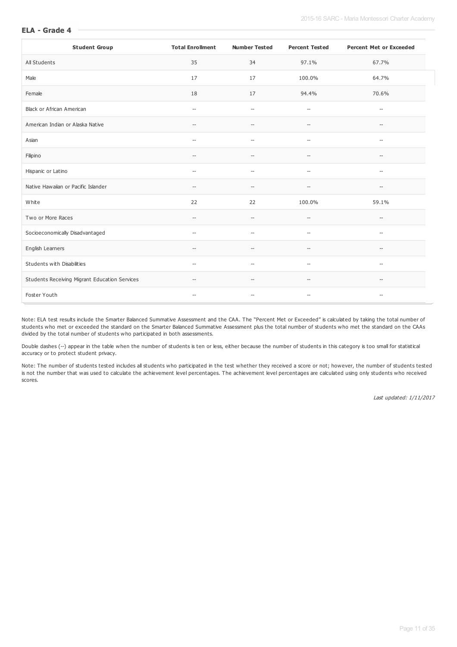| <b>Student Group</b>                          | <b>Total Enrollment</b>                             | <b>Number Tested</b>                                | <b>Percent Tested</b>                               | <b>Percent Met or Exceeded</b>                      |
|-----------------------------------------------|-----------------------------------------------------|-----------------------------------------------------|-----------------------------------------------------|-----------------------------------------------------|
| All Students                                  | 35                                                  | 34                                                  | 97.1%                                               | 67.7%                                               |
| Male                                          | 17                                                  | 17                                                  | 100.0%                                              | 64.7%                                               |
| Female                                        | 18                                                  | 17                                                  | 94.4%                                               | 70.6%                                               |
| Black or African American                     | $\hspace{0.05cm} -\hspace{0.05cm}$                  | $\hspace{0.05cm} -\hspace{0.05cm} -\hspace{0.05cm}$ | $\hspace{0.05cm} -\hspace{0.05cm} -\hspace{0.05cm}$ | $-\!$                                               |
| American Indian or Alaska Native              | $\hspace{0.05cm} -\hspace{0.05cm}$                  | $\hspace{0.05cm} -\hspace{0.05cm} -\hspace{0.05cm}$ | $\hspace{0.05cm} -\hspace{0.05cm} -\hspace{0.05cm}$ | $\hspace{0.05cm} -\hspace{0.05cm} -\hspace{0.05cm}$ |
| Asian                                         | $\hspace{0.05cm} -\hspace{0.05cm}$                  | $\overline{\phantom{a}}$                            | $\overline{\phantom{a}}$                            | $\hspace{0.05cm} -$                                 |
| Filipino                                      | $\hspace{0.05cm} \ldots$                            | $\qquad \qquad -$                                   | $\hspace{0.05cm} -$                                 | $\hspace{0.05cm} -\hspace{0.05cm} -\hspace{0.05cm}$ |
| Hispanic or Latino                            | $\overline{\phantom{a}}$                            | $\overline{\phantom{a}}$                            | $\overline{\phantom{a}}$                            | $\hspace{0.05cm} \ldots$                            |
| Native Hawaiian or Pacific Islander           | --                                                  | $\hspace{0.05cm} -\hspace{0.05cm} -\hspace{0.05cm}$ | $\hspace{0.05cm} -\hspace{0.05cm} -\hspace{0.05cm}$ | $\hspace{0.05cm} -\hspace{0.05cm}$                  |
| White                                         | 22                                                  | 22                                                  | 100.0%                                              | 59.1%                                               |
| Two or More Races                             | $\hspace{0.05cm} -\hspace{0.05cm}$                  | $\hspace{0.05cm} -\hspace{0.05cm} -\hspace{0.05cm}$ | $-\!$                                               | $\hspace{0.05cm} -\hspace{0.05cm} -\hspace{0.05cm}$ |
| Socioeconomically Disadvantaged               | $\hspace{0.05cm} -\hspace{0.05cm}$                  | $\overline{\phantom{a}}$                            | $\overline{\phantom{a}}$                            | $\hspace{0.05cm} \ldots$                            |
| English Learners                              | $\overline{\phantom{a}}$                            |                                                     | $-$                                                 | $\overline{\phantom{a}}$                            |
| Students with Disabilities                    | $\hspace{0.05cm} -\hspace{0.05cm}$                  | $\overline{\phantom{a}}$                            | $\overline{\phantom{a}}$                            | $\hspace{0.05cm} \ldots$                            |
| Students Receiving Migrant Education Services | $\hspace{0.05cm} -\hspace{0.05cm} -\hspace{0.05cm}$ | $\overline{\phantom{a}}$                            | $\hspace{0.05cm} -\hspace{0.05cm} -\hspace{0.05cm}$ | $\hspace{0.05cm} \ldots$                            |
| Foster Youth                                  | $\hspace{0.05cm} \dashv$                            | $\hspace{0.05cm} -\hspace{0.05cm}$                  | $-\!$                                               | $-\!$                                               |

Note: ELA test results include the Smarter Balanced Summative Assessment and the CAA. The "Percent Met or Exceeded" is calculated by taking the total number of students who met or exceeded the standard on the Smarter Balanced Summative Assessment plus the total number of students who met the standard on the CAAs divided by the total number of students who participated in both assessments.

Double dashes (--) appear in the table when the number of students is ten or less, either because the number of students in this category is too small for statistical accuracy or to protect student privacy.

Note: The number of students tested includes all students who participated in the test whether they received a score or not; however, the number of students tested is not the number that was used to calculate the achievement level percentages. The achievement level percentages are calculated using only students who received scores.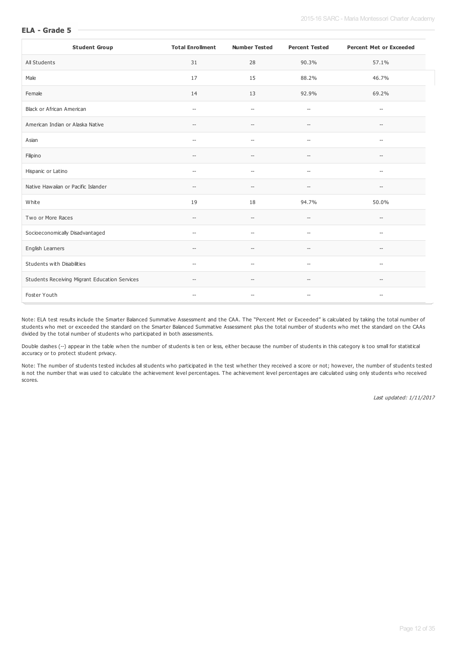| <b>Student Group</b>                          | <b>Total Enrollment</b>                             | <b>Number Tested</b>                                | <b>Percent Tested</b>                               | <b>Percent Met or Exceeded</b>                      |
|-----------------------------------------------|-----------------------------------------------------|-----------------------------------------------------|-----------------------------------------------------|-----------------------------------------------------|
| All Students                                  | 31                                                  | 28                                                  | 90.3%                                               | 57.1%                                               |
| Male                                          | 17                                                  | 15                                                  | 88.2%                                               | 46.7%                                               |
| Female                                        | 14                                                  | 13                                                  | 92.9%                                               | 69.2%                                               |
| Black or African American                     | $\hspace{0.05cm} -\hspace{0.05cm}$                  | $-\!$                                               | $\hspace{0.05cm} -\hspace{0.05cm} -\hspace{0.05cm}$ | $\hspace{0.05cm} -\hspace{0.05cm} -\hspace{0.05cm}$ |
| American Indian or Alaska Native              | $\hspace{0.05cm} -\hspace{0.05cm}$                  | $\hspace{0.05cm} -\hspace{0.05cm} -\hspace{0.05cm}$ | $-\hbox{--}$                                        | $-\!$                                               |
| Asian                                         | $\hspace{0.05cm} -\hspace{0.05cm}$                  | $\overline{\phantom{a}}$                            | $\hspace{0.05cm} -\hspace{0.05cm} -\hspace{0.05cm}$ | $\hspace{0.05cm} -$                                 |
| Filipino                                      | $-$                                                 | --                                                  | $-$                                                 | $\hspace{0.05cm}$ – $\hspace{0.05cm}$               |
| Hispanic or Latino                            | $\qquad \qquad -$                                   | $\qquad \qquad -$                                   | $\hspace{0.05cm} -\hspace{0.05cm} -\hspace{0.05cm}$ | $-\!$                                               |
| Native Hawaiian or Pacific Islander           | $-$                                                 | $-$                                                 | $\overline{\phantom{a}}$                            | $\hspace{0.05cm}$ – $\hspace{0.05cm}$               |
| White                                         | 19                                                  | 18                                                  | 94.7%                                               | 50.0%                                               |
| Two or More Races                             | $\hspace{0.05cm} -\hspace{0.05cm} -\hspace{0.05cm}$ | $\hspace{0.05cm} -\hspace{0.05cm} -\hspace{0.05cm}$ | $-\!$                                               | $\hspace{0.05cm} -\hspace{0.05cm} -\hspace{0.05cm}$ |
| Socioeconomically Disadvantaged               | $\hspace{0.05cm} -\hspace{0.05cm}$                  | $-\!$                                               | $\hspace{0.05cm} -\hspace{0.05cm} -\hspace{0.05cm}$ | $-\!$                                               |
| English Learners                              | $\overline{\phantom{a}}$                            | --                                                  | $\overline{\phantom{a}}$                            | $\overline{\phantom{a}}$                            |
| Students with Disabilities                    | $\hspace{0.05cm} -\hspace{0.05cm}$                  | $\overline{\phantom{a}}$                            | $\overline{\phantom{a}}$                            | $\hspace{0.05cm} \ldots$                            |
| Students Receiving Migrant Education Services | $\hspace{0.05cm} -\hspace{0.05cm} -\hspace{0.05cm}$ | $\overline{\phantom{a}}$                            | $-\!$                                               | $\hspace{0.05cm} -\hspace{0.05cm} -\hspace{0.05cm}$ |
| Foster Youth                                  | $\hspace{0.05cm} \dashv$                            | --                                                  | $-\,$                                               | $-\!$                                               |

Note: ELA test results include the Smarter Balanced Summative Assessment and the CAA. The "Percent Met or Exceeded" is calculated by taking the total number of students who met or exceeded the standard on the Smarter Balanced Summative Assessment plus the total number of students who met the standard on the CAAs divided by the total number of students who participated in both assessments.

Double dashes (--) appear in the table when the number of students is ten or less, either because the number of students in this category is too small for statistical accuracy or to protect student privacy.

Note: The number of students tested includes all students who participated in the test whether they received a score or not; however, the number of students tested is not the number that was used to calculate the achievement level percentages. The achievement level percentages are calculated using only students who received scores.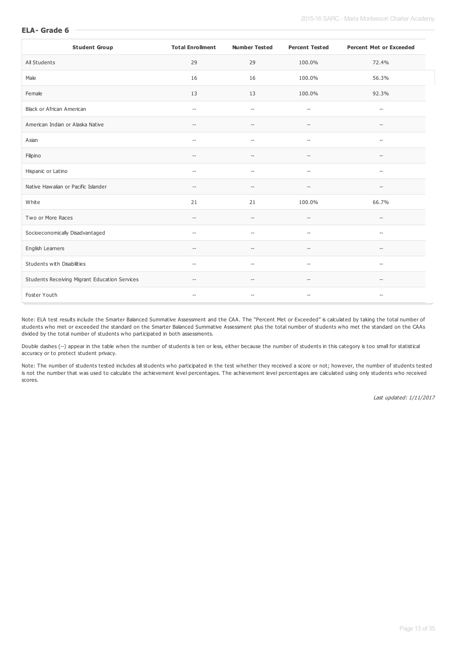| <b>Student Group</b>                          | <b>Total Enrollment</b>                             | <b>Number Tested</b>                                | <b>Percent Tested</b>                               | <b>Percent Met or Exceeded</b>                      |
|-----------------------------------------------|-----------------------------------------------------|-----------------------------------------------------|-----------------------------------------------------|-----------------------------------------------------|
| All Students                                  | 29                                                  | 29                                                  | 100.0%                                              | 72.4%                                               |
| Male                                          | 16                                                  | 16                                                  | 100.0%                                              | 56.3%                                               |
| Female                                        | 13                                                  | 13                                                  | 100.0%                                              | 92.3%                                               |
| Black or African American                     | $\overline{\phantom{a}}$                            | $\hspace{0.05cm} -\hspace{0.05cm} -\hspace{0.05cm}$ | $\hspace{0.05cm} -\hspace{0.05cm} -\hspace{0.05cm}$ | $\hspace{0.05cm} -$                                 |
| American Indian or Alaska Native              | $\hspace{0.05cm} -\hspace{0.05cm} -\hspace{0.05cm}$ | $\hspace{0.05cm} -\hspace{0.05cm} -\hspace{0.05cm}$ | $\hspace{0.05cm} -\hspace{0.05cm} -\hspace{0.05cm}$ | $-\!$                                               |
| Asian                                         | $\hspace{0.05cm} -\hspace{0.05cm} -\hspace{0.05cm}$ | $-\!$                                               | $\hspace{0.05cm} -\hspace{0.05cm} -\hspace{0.05cm}$ | $\hspace{0.05cm} -\hspace{0.05cm} -\hspace{0.05cm}$ |
| Filipino                                      | $\overline{\phantom{0}}$                            | $\hspace{0.05cm} -$                                 | $\overline{\phantom{a}}$                            | $\hspace{0.05cm} -\hspace{0.05cm} -\hspace{0.05cm}$ |
| Hispanic or Latino                            | $\overline{\phantom{a}}$                            | $\overline{\phantom{a}}$                            | $\hspace{0.05cm} -\hspace{0.05cm} -\hspace{0.05cm}$ | $\hspace{0.05cm} -$                                 |
| Native Hawaiian or Pacific Islander           | $\hspace{0.05cm}--\hspace{0.05cm}$                  | --                                                  | $\hspace{0.05cm} -\hspace{0.05cm} -\hspace{0.05cm}$ | $\hspace{0.05cm} -\hspace{0.05cm} -\hspace{0.05cm}$ |
| White                                         | 21                                                  | 21                                                  | 100.0%                                              | 66.7%                                               |
| Two or More Races                             | $\hspace{0.05cm} -\hspace{0.05cm} -\hspace{0.05cm}$ | $\hspace{0.05cm} -$                                 | $-\!$                                               | $\hspace{0.05cm} -$                                 |
| Socioeconomically Disadvantaged               | $\hspace{0.05cm} -$                                 | $\overline{\phantom{a}}$                            | $\overline{\phantom{a}}$                            | $\hspace{0.05cm} -$                                 |
| English Learners                              | $\overline{\phantom{a}}$                            | $\overline{\phantom{a}}$                            | $\hspace{0.05cm} -$                                 | $\hspace{0.05cm} -\hspace{0.05cm} -\hspace{0.05cm}$ |
| Students with Disabilities                    | $\overline{\phantom{a}}$                            | $\overline{\phantom{a}}$                            | $\overline{\phantom{a}}$                            | $\overline{\phantom{a}}$                            |
| Students Receiving Migrant Education Services | $\hspace{0.05cm} -\hspace{0.05cm} -\hspace{0.05cm}$ | $\hspace{0.05cm} -$                                 | $\overline{\phantom{a}}$                            | $\hspace{0.05cm} -$                                 |
| Foster Youth                                  | $\hspace{0.05cm} -\hspace{0.05cm} -\hspace{0.05cm}$ | $\hspace{0.05cm} -\hspace{0.05cm} -\hspace{0.05cm}$ | $\hspace{0.05cm} -\hspace{0.05cm} -\hspace{0.05cm}$ | $\hspace{0.05cm} -\hspace{0.05cm} -\hspace{0.05cm}$ |

Note: ELA test results include the Smarter Balanced Summative Assessment and the CAA. The "Percent Met or Exceeded" is calculated by taking the total number of students who met or exceeded the standard on the Smarter Balanced Summative Assessment plus the total number of students who met the standard on the CAAs divided by the total number of students who participated in both assessments.

Double dashes (--) appear in the table when the number of students is ten or less, either because the number of students in this category is too small for statistical accuracy or to protect student privacy.

Note: The number of students tested includes all students who participated in the test whether they received a score or not; however, the number of students tested is not the number that was used to calculate the achievement level percentages. The achievement level percentages are calculated using only students who received scores.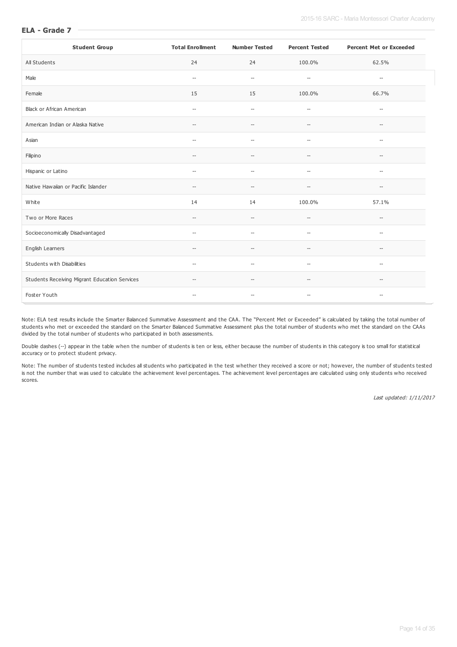| <b>Student Group</b>                          | <b>Total Enrollment</b>                             | <b>Number Tested</b>                                | <b>Percent Tested</b>                               | <b>Percent Met or Exceeded</b>                      |
|-----------------------------------------------|-----------------------------------------------------|-----------------------------------------------------|-----------------------------------------------------|-----------------------------------------------------|
| All Students                                  | 24                                                  | 24                                                  | 100.0%                                              | 62.5%                                               |
| Male                                          | $\hspace{0.05cm} -\hspace{0.05cm}$                  | $\overline{\phantom{a}}$                            | $-\!$                                               | $\hspace{0.05cm} \ldots$                            |
| Female                                        | 15                                                  | 15                                                  | 100.0%                                              | 66.7%                                               |
| Black or African American                     | $\hspace{0.05cm} -\hspace{0.05cm}$                  | $-\!$                                               | $\hspace{0.05cm} -\hspace{0.05cm} -\hspace{0.05cm}$ | $\hspace{0.05cm} -\hspace{0.05cm} -\hspace{0.05cm}$ |
| American Indian or Alaska Native              | $\hspace{0.05cm} \dashv$                            | $\hspace{0.05cm} -$                                 | $-\hbox{--}$                                        | $-\!$                                               |
| Asian                                         | $\hspace{0.05cm} -\hspace{0.05cm}$                  | $\overline{\phantom{a}}$                            | $\overline{\phantom{a}}$                            | $\hspace{0.05cm} -$                                 |
| Filipino                                      | $-$                                                 | --                                                  | $-$                                                 | $\hspace{0.05cm}$ – $\hspace{0.05cm}$               |
| Hispanic or Latino                            | $\qquad \qquad -$                                   | $\qquad \qquad -$                                   | $\hspace{0.05cm} -\hspace{0.05cm} -\hspace{0.05cm}$ | $-\!$                                               |
| Native Hawaiian or Pacific Islander           | $-$                                                 | $-$                                                 | $\overline{\phantom{a}}$                            | $\hspace{0.05cm}$ – $\hspace{0.05cm}$               |
| White                                         | 14                                                  | 14                                                  | 100.0%                                              | 57.1%                                               |
| Two or More Races                             | $\hspace{0.05cm} -\hspace{0.05cm} -\hspace{0.05cm}$ | $\hspace{0.05cm} -\hspace{0.05cm} -\hspace{0.05cm}$ | $-\!$                                               | $-\!$                                               |
| Socioeconomically Disadvantaged               | $\hspace{0.05cm} -\hspace{0.05cm}$                  | $\overline{\phantom{a}}$                            | $\hspace{0.05cm} -\hspace{0.05cm} -\hspace{0.05cm}$ | $\hspace{0.05cm} -\hspace{0.05cm} -\hspace{0.05cm}$ |
| English Learners                              | $\overline{\phantom{a}}$                            | --                                                  | $\overline{\phantom{a}}$                            | $\overline{\phantom{a}}$                            |
| Students with Disabilities                    | $\hspace{0.05cm} -\hspace{0.05cm}$                  | $\sim$                                              | $\overline{\phantom{a}}$                            | $\hspace{0.05cm} \ldots$                            |
| Students Receiving Migrant Education Services | $\hspace{0.05cm} -\hspace{0.05cm} -\hspace{0.05cm}$ | $\overline{\phantom{a}}$                            | $-\!$                                               | $\hspace{0.05cm} -\hspace{0.05cm} -\hspace{0.05cm}$ |
| Foster Youth                                  | $\hspace{0.05cm} \dashv$                            | --                                                  | $-\,$                                               | $-\!$                                               |

Note: ELA test results include the Smarter Balanced Summative Assessment and the CAA. The "Percent Met or Exceeded" is calculated by taking the total number of students who met or exceeded the standard on the Smarter Balanced Summative Assessment plus the total number of students who met the standard on the CAAs divided by the total number of students who participated in both assessments.

Double dashes (--) appear in the table when the number of students is ten or less, either because the number of students in this category is too small for statistical accuracy or to protect student privacy.

Note: The number of students tested includes all students who participated in the test whether they received a score or not; however, the number of students tested is not the number that was used to calculate the achievement level percentages. The achievement level percentages are calculated using only students who received scores.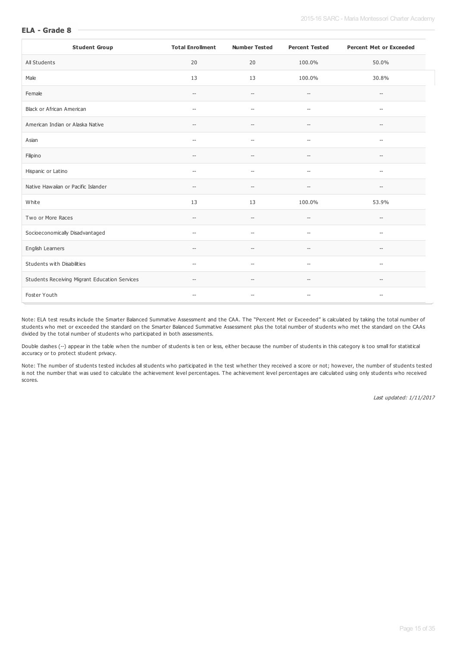| <b>Student Group</b>                          | <b>Total Enrollment</b>                             | <b>Number Tested</b>     | <b>Percent Tested</b>                               | <b>Percent Met or Exceeded</b>                      |
|-----------------------------------------------|-----------------------------------------------------|--------------------------|-----------------------------------------------------|-----------------------------------------------------|
| All Students                                  | 20                                                  | 20                       | 100.0%                                              | 50.0%                                               |
| Male                                          | 13                                                  | 13                       | 100.0%                                              | 30.8%                                               |
| Female                                        | $\hspace{0.05cm} -\hspace{0.05cm} -\hspace{0.05cm}$ | $\qquad \qquad -$        | $-\!$                                               | $\hspace{0.05cm} -$                                 |
| Black or African American                     | $\hspace{0.05cm} \ldots$                            | $\overline{\phantom{a}}$ | $\hspace{0.05cm} -\hspace{0.05cm} -\hspace{0.05cm}$ | $\overline{\phantom{a}}$                            |
| American Indian or Alaska Native              | $-\!$                                               | --                       | $\hspace{0.05cm} -\hspace{0.05cm} -\hspace{0.05cm}$ | $-\!$                                               |
| Asian                                         | $\overline{\phantom{a}}$                            | $\overline{\phantom{a}}$ | $\hspace{0.05cm} -\hspace{0.05cm} -\hspace{0.05cm}$ | $\hspace{0.05cm} -$                                 |
| Filipino                                      | $\hspace{0.05cm} -\hspace{0.05cm}$                  | $\overline{\phantom{a}}$ | $\hspace{0.05cm} -\hspace{0.05cm} -\hspace{0.05cm}$ | $\hspace{0.05cm} -\hspace{0.05cm}$                  |
| Hispanic or Latino                            | $\hspace{0.05cm} -$                                 | $\overline{\phantom{a}}$ | $\hspace{0.05cm} -\hspace{0.05cm} -\hspace{0.05cm}$ | $\overline{\phantom{a}}$                            |
| Native Hawaiian or Pacific Islander           | $\hspace{0.05cm} -\hspace{0.05cm} -\hspace{0.05cm}$ | $\overline{\phantom{a}}$ | $\overline{\phantom{a}}$                            | $\qquad \qquad -$                                   |
| White                                         | 13                                                  | 13                       | 100.0%                                              | 53.9%                                               |
| Two or More Races                             | $\hspace{0.05cm} -\hspace{0.05cm}$                  | $-\!$                    | $-\!$                                               | $\hspace{0.05cm} -\hspace{0.05cm} -\hspace{0.05cm}$ |
| Socioeconomically Disadvantaged               | $\hspace{0.05cm} \ldots$                            | $\overline{\phantom{a}}$ | $\overline{\phantom{a}}$                            | $\hspace{0.05cm} -$                                 |
| English Learners                              | $-$                                                 | $\overline{a}$           | $-$                                                 | --                                                  |
| Students with Disabilities                    | $\overline{\phantom{a}}$                            | --                       | $\overline{\phantom{a}}$                            | $\overline{\phantom{a}}$                            |
| Students Receiving Migrant Education Services | $\hspace{0.05cm} -\hspace{0.05cm} -\hspace{0.05cm}$ | $\overline{\phantom{a}}$ | $\hspace{0.05cm} -$                                 | $\hspace{0.05cm} -$                                 |
| Foster Youth                                  | $\hspace{0.05cm} -\hspace{0.05cm}$                  | --                       | $-\!$                                               | $\hspace{0.05cm} -\hspace{0.05cm} -\hspace{0.05cm}$ |

Note: ELA test results include the Smarter Balanced Summative Assessment and the CAA. The "Percent Met or Exceeded" is calculated by taking the total number of students who met or exceeded the standard on the Smarter Balanced Summative Assessment plus the total number of students who met the standard on the CAAs divided by the total number of students who participated in both assessments.

Double dashes (--) appear in the table when the number of students is ten or less, either because the number of students in this category is too small for statistical accuracy or to protect student privacy.

Note: The number of students tested includes all students who participated in the test whether they received a score or not; however, the number of students tested is not the number that was used to calculate the achievement level percentages. The achievement level percentages are calculated using only students who received scores.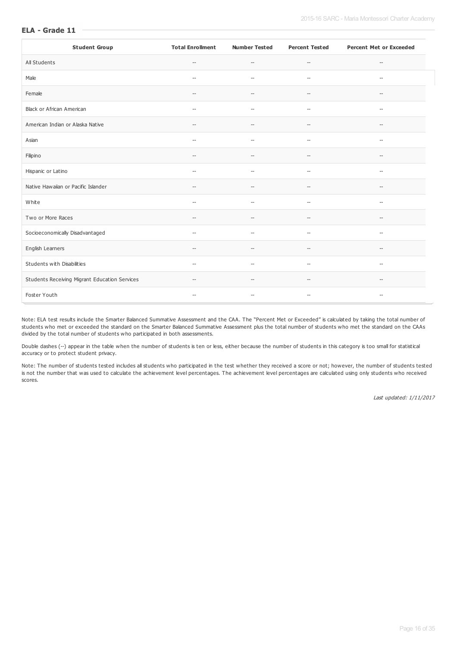| <b>Student Group</b>                          | <b>Total Enrollment</b>                             | <b>Number Tested</b>                                | <b>Percent Tested</b>                               | <b>Percent Met or Exceeded</b>                      |
|-----------------------------------------------|-----------------------------------------------------|-----------------------------------------------------|-----------------------------------------------------|-----------------------------------------------------|
| All Students                                  | $\hspace{0.05cm} -\hspace{0.05cm} -\hspace{0.05cm}$ | $\hspace{0.05cm} -\hspace{0.05cm} -\hspace{0.05cm}$ | $\hspace{0.05cm} -\hspace{0.05cm} -\hspace{0.05cm}$ | $\hspace{0.05cm} -\hspace{0.05cm} -\hspace{0.05cm}$ |
| Male                                          | $\hspace{0.05cm} \ldots$                            | $\overline{\phantom{a}}$                            | $\overline{\phantom{a}}$                            | $\overline{\phantom{a}}$                            |
| Female                                        | $\hspace{0.05cm} -\hspace{0.05cm} -\hspace{0.05cm}$ | $-$                                                 | $\overline{\phantom{a}}$                            | $\hspace{0.05cm} \ldots$                            |
| Black or African American                     | $\hspace{0.05cm} -$                                 | $\hspace{0.05cm} \ldots$                            | $\overline{\phantom{a}}$                            | $\hspace{0.05cm} \ldots$                            |
| American Indian or Alaska Native              | $\hspace{0.05cm} -\hspace{0.05cm} -\hspace{0.05cm}$ | $\hspace{0.05cm} -\hspace{0.05cm} -\hspace{0.05cm}$ | $-\hbox{--}$                                        | $\hspace{0.05cm} -\hspace{0.05cm}$                  |
| Asian                                         | $\hspace{0.05cm} -$                                 | $\hspace{0.05cm} \ldots$                            | $\hspace{0.05cm} -\hspace{0.05cm} -\hspace{0.05cm}$ | $\overline{\phantom{a}}$                            |
| Filipino                                      | $\hspace{0.05cm} -\hspace{0.05cm} -\hspace{0.05cm}$ | $-$                                                 | $\hspace{0.05cm} -\hspace{0.05cm} -\hspace{0.05cm}$ | $\hspace{0.05cm} -\hspace{0.05cm} -\hspace{0.05cm}$ |
| Hispanic or Latino                            | $\hspace{0.05cm} -\hspace{0.05cm}$                  | $\sim$                                              | $\overline{\phantom{a}}$                            | $\hspace{0.05cm} -\hspace{0.05cm}$                  |
| Native Hawaiian or Pacific Islander           | $\hspace{0.05cm} -\hspace{0.05cm} -\hspace{0.05cm}$ | $\hspace{0.05cm} -\hspace{0.05cm} -\hspace{0.05cm}$ | $\hspace{0.05cm} -\hspace{0.05cm} -\hspace{0.05cm}$ | $\hspace{0.05cm} -\hspace{0.05cm} -\hspace{0.05cm}$ |
| White                                         | $\hspace{0.05cm} \ldots$                            | $\hspace{0.05cm} \ldots$                            | $\hspace{0.05cm} -\hspace{0.05cm} -\hspace{0.05cm}$ | $\hspace{0.05cm} -\hspace{0.05cm}$                  |
| Two or More Races                             | $\hspace{0.05cm} -\hspace{0.05cm} -\hspace{0.05cm}$ | $\hspace{0.05cm} -\hspace{0.05cm}$                  | $\hspace{0.05cm} -\hspace{0.05cm} -\hspace{0.05cm}$ | $\hspace{0.05cm} -\hspace{0.05cm}$                  |
| Socioeconomically Disadvantaged               | $\hspace{0.05cm} -\hspace{0.05cm}$                  | $\hspace{0.05cm} \ldots$                            | $\hspace{0.05cm} -\hspace{0.05cm} -\hspace{0.05cm}$ | $\hspace{0.05cm} -\hspace{0.05cm}$                  |
| English Learners                              | $\hspace{0.05cm} -\hspace{0.05cm}$                  | $\sim$                                              | $-$                                                 | $\hspace{0.05cm} \ldots$                            |
| Students with Disabilities                    | $\hspace{0.05cm} -\hspace{0.05cm}$                  | $-$                                                 | $\hspace{0.05cm} -\hspace{0.05cm} -\hspace{0.05cm}$ | $\hspace{0.05cm} -\hspace{0.05cm}$                  |
| Students Receiving Migrant Education Services | $\hspace{0.05cm} -\hspace{0.05cm} -\hspace{0.05cm}$ | $\hspace{0.05cm} -\hspace{0.05cm} -\hspace{0.05cm}$ | $\hspace{0.05cm} -\hspace{0.05cm} -\hspace{0.05cm}$ | $\hspace{0.05cm} -$                                 |
| Foster Youth                                  | $\hspace{0.05cm} -$                                 | $-$                                                 | $\overline{\phantom{a}}$                            | $\hspace{0.05cm} -$                                 |

Note: ELA test results include the Smarter Balanced Summative Assessment and the CAA. The "Percent Met or Exceeded" is calculated by taking the total number of students who met or exceeded the standard on the Smarter Balanced Summative Assessment plus the total number of students who met the standard on the CAAs divided by the total number of students who participated in both assessments.

Double dashes (--) appear in the table when the number of students is ten or less, either because the number of students in this category is too small for statistical accuracy or to protect student privacy.

Note: The number of students tested includes all students who participated in the test whether they received a score or not; however, the number of students tested is not the number that was used to calculate the achievement level percentages. The achievement level percentages are calculated using only students who received scores.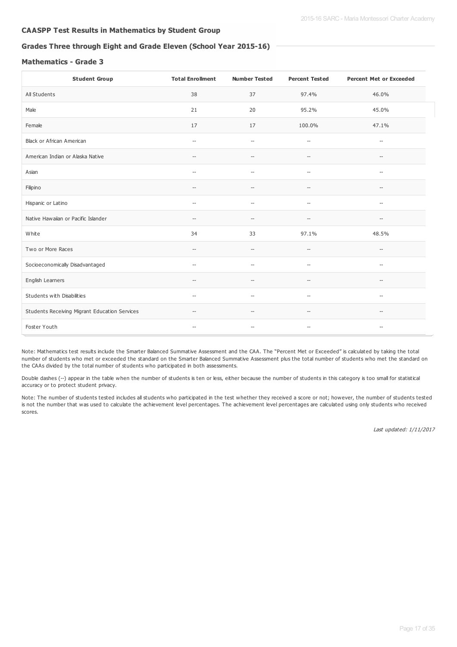#### **CAASPP Test Results in Mathematics by Student Group**

#### **Grades Three through Eight and Grade Eleven (School Year 2015-16)**

#### **Mathematics - Grade 3**

| <b>Student Group</b>                          | <b>Total Enrollment</b>                             | <b>Number Tested</b>                                | <b>Percent Tested</b>                               | <b>Percent Met or Exceeded</b>                      |
|-----------------------------------------------|-----------------------------------------------------|-----------------------------------------------------|-----------------------------------------------------|-----------------------------------------------------|
| All Students                                  | 38                                                  | 37                                                  | 97.4%                                               | 46.0%                                               |
| Male                                          | 21                                                  | 20                                                  | 95.2%                                               | 45.0%                                               |
| Female                                        | 17                                                  | 17                                                  | 100.0%                                              | 47.1%                                               |
| Black or African American                     | $\hspace{0.05cm} -\hspace{0.05cm}$                  | $\hspace{0.05cm} -\hspace{0.05cm} -\hspace{0.05cm}$ | $\hspace{0.05cm} -\hspace{0.05cm} -\hspace{0.05cm}$ | $\hspace{0.05cm} -\hspace{0.05cm}$                  |
| American Indian or Alaska Native              | $\hspace{0.05cm} -\hspace{0.05cm}$                  | $\overline{\phantom{a}}$                            | $\hspace{0.05cm} -$                                 | $\hspace{0.05cm} -\hspace{0.05cm}$                  |
| Asian                                         | $\hspace{0.05cm} -\hspace{0.05cm} -\hspace{0.05cm}$ | $\overline{\phantom{a}}$                            | $\overline{\phantom{a}}$                            | $\hspace{0.05cm} -$                                 |
| Filipino                                      | $\hspace{0.05cm} -$                                 | $\overline{\phantom{a}}$                            | $\overline{\phantom{a}}$                            | --                                                  |
| Hispanic or Latino                            | $\overline{\phantom{a}}$                            | $\overline{\phantom{a}}$                            | $\overline{\phantom{a}}$                            | $\overline{\phantom{a}}$                            |
| Native Hawaiian or Pacific Islander           | $--$                                                | $\hspace{0.05cm} -\hspace{0.05cm} -\hspace{0.05cm}$ | $\hspace{0.05cm} -\hspace{0.05cm} -\hspace{0.05cm}$ | $\hspace{0.05cm} -\hspace{0.05cm} -\hspace{0.05cm}$ |
| White                                         | 34                                                  | 33                                                  | 97.1%                                               | 48.5%                                               |
| Two or More Races                             | $\hspace{0.05cm} -\hspace{0.05cm} -\hspace{0.05cm}$ | $\hspace{0.05cm} \ldots$                            | $\hspace{0.05cm} -\hspace{0.05cm} -\hspace{0.05cm}$ | $\hspace{0.05cm} -\hspace{0.05cm} -\hspace{0.05cm}$ |
| Socioeconomically Disadvantaged               | $\overline{\phantom{a}}$                            | $\overline{\phantom{0}}$                            | $\overline{\phantom{a}}$                            | $\hspace{0.05cm} \ldots$                            |
| English Learners                              | $-$                                                 | $-$                                                 | $-$                                                 | --                                                  |
| Students with Disabilities                    | $\hspace{0.05cm} -\hspace{0.05cm}$                  | $\hspace{0.05cm} -\hspace{0.05cm} -\hspace{0.05cm}$ | $\hspace{0.05cm} -\hspace{0.05cm} -\hspace{0.05cm}$ | $\hspace{0.05cm} -\hspace{0.05cm}$                  |
| Students Receiving Migrant Education Services | $\hspace{0.05cm} \ldots$                            | $\overline{\phantom{a}}$                            | $\hspace{0.05cm} -\hspace{0.05cm} -\hspace{0.05cm}$ | $-\!$                                               |
| Foster Youth                                  | $\overline{\phantom{a}}$                            | $\hspace{0.05cm} -$                                 | $-\!$                                               | $\hspace{0.05cm} -$                                 |

Note: Mathematics test results include the Smarter Balanced Summative Assessment and the CAA. The "Percent Met or Exceeded" is calculated by taking the total number of students who met or exceeded the standard on the Smarter Balanced Summative Assessment plus the total number of students who met the standard on the CAAs divided by the total number of students who participated in both assessments.

Double dashes (--) appear in the table when the number of students is ten or less, either because the number of students in this category is too small for statistical accuracy or to protect student privacy.

Note: The number of students tested includes all students who participated in the test whether they received a score or not; however, the number of students tested is not the number that was used to calculate the achievement level percentages. The achievement level percentages are calculated using only students who received scores.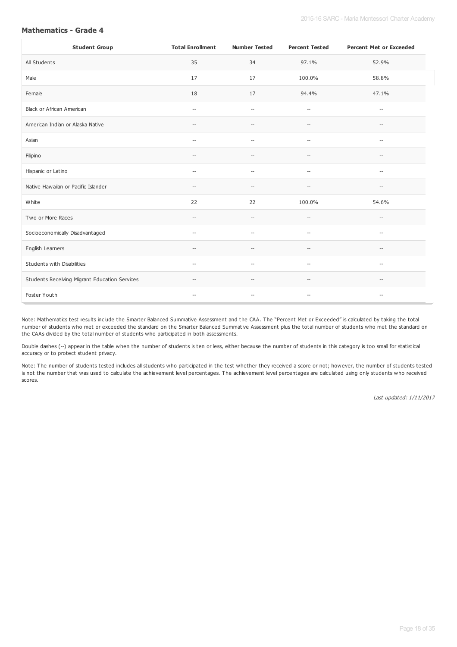| <b>Student Group</b>                          | <b>Total Enrollment</b>                             | <b>Number Tested</b>                                | <b>Percent Tested</b>                               | <b>Percent Met or Exceeded</b>                      |
|-----------------------------------------------|-----------------------------------------------------|-----------------------------------------------------|-----------------------------------------------------|-----------------------------------------------------|
| All Students                                  | 35                                                  | 34                                                  | 97.1%                                               | 52.9%                                               |
| Male                                          | 17                                                  | 17                                                  | 100.0%                                              | 58.8%                                               |
| Female                                        | 18                                                  | 17                                                  | 94.4%                                               | 47.1%                                               |
| Black or African American                     | $\hspace{0.05cm} -\hspace{0.05cm}$                  | $\hspace{0.05cm} -\hspace{0.05cm} -\hspace{0.05cm}$ | $\hspace{0.05cm} -\hspace{0.05cm} -\hspace{0.05cm}$ | $-\!$                                               |
| American Indian or Alaska Native              | $\hspace{0.05cm} -\hspace{0.05cm} -\hspace{0.05cm}$ | $-\!$                                               | $-\!$                                               | $\hspace{0.05cm} -\hspace{0.05cm} -\hspace{0.05cm}$ |
| Asian                                         | $\hspace{0.05cm} -\hspace{0.05cm}$                  | $-\!$                                               | $\hspace{0.05cm} -\hspace{0.05cm} -\hspace{0.05cm}$ | $-\!$                                               |
| Filipino                                      | $\hspace{0.05cm} \ldots$                            | $\hspace{0.05cm} -$                                 | $\hspace{0.05cm} -\hspace{0.05cm} -\hspace{0.05cm}$ | $\hspace{0.05cm} -$                                 |
| Hispanic or Latino                            | $\hspace{0.05cm} -\hspace{0.05cm}$                  | $\hspace{0.05cm} -\hspace{0.05cm} -\hspace{0.05cm}$ | $-\!$                                               | $\hspace{0.05cm} -\hspace{0.05cm} -\hspace{0.05cm}$ |
| Native Hawaiian or Pacific Islander           | $\hspace{0.05cm} \dashv$                            | $\hspace{0.05cm} -\hspace{0.05cm} -\hspace{0.05cm}$ | $-\!$                                               | $-\!$                                               |
| White                                         | 22                                                  | 22                                                  | 100.0%                                              | 54.6%                                               |
| Two or More Races                             | $\hspace{0.05cm} -\hspace{0.05cm} -\hspace{0.05cm}$ | $\hspace{0.05cm} -\hspace{0.05cm} -\hspace{0.05cm}$ | $-\!$                                               | $-\!$                                               |
| Socioeconomically Disadvantaged               | $-$                                                 | $\overline{\phantom{a}}$                            | $\overline{\phantom{a}}$                            | $\overline{\phantom{a}}$                            |
| English Learners                              | $\hspace{0.05cm} -\hspace{0.05cm}$                  | --                                                  | $\overline{\phantom{a}}$                            | $\overline{\phantom{a}}$                            |
| Students with Disabilities                    | $\hspace{0.05cm} -\hspace{0.05cm}$                  | $-\!$                                               | $\hspace{0.05cm} -\hspace{0.05cm} -\hspace{0.05cm}$ | $\hspace{0.05cm} -\hspace{0.05cm} -\hspace{0.05cm}$ |
| Students Receiving Migrant Education Services | $\hspace{0.05cm} -\hspace{0.05cm} -\hspace{0.05cm}$ | $-\!$                                               | $\hspace{0.05cm} -\hspace{0.05cm} -\hspace{0.05cm}$ | $\hspace{0.05cm} -\hspace{0.05cm} -\hspace{0.05cm}$ |
| Foster Youth                                  | $\hspace{0.05cm} -\hspace{0.05cm}$                  | $\hspace{0.05cm} -\hspace{0.05cm} -\hspace{0.05cm}$ | $\hspace{0.05cm} -\hspace{0.05cm} -\hspace{0.05cm}$ | $\hspace{0.05cm} -\hspace{0.05cm} -\hspace{0.05cm}$ |

Note: Mathematics test results include the Smarter Balanced Summative Assessment and the CAA. The "Percent Met or Exceeded" is calculated by taking the total number of students who met or exceeded the standard on the Smarter Balanced Summative Assessment plus the total number of students who met the standard on the CAAs divided by the total number of students who participated in both assessments.

Double dashes (--) appear in the table when the number of students is ten or less, either because the number of students in this category is too small for statistical accuracy or to protect student privacy.

Note: The number of students tested includes all students who participated in the test whether they received a score or not; however, the number of students tested is not the number that was used to calculate the achievement level percentages. The achievement level percentages are calculated using only students who received scores.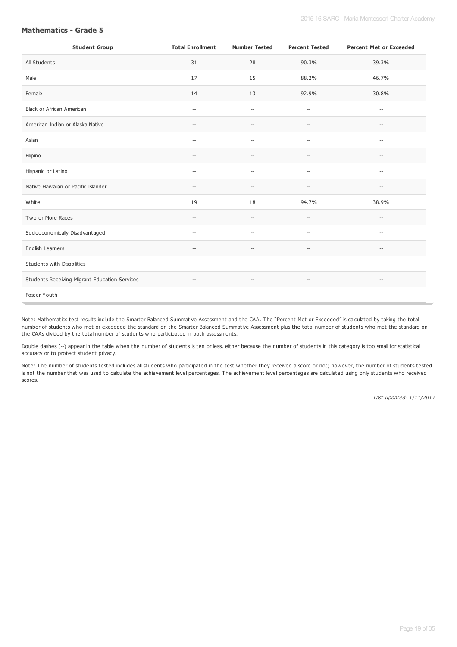| <b>Student Group</b>                          | <b>Total Enrollment</b>                             | <b>Number Tested</b>                                | <b>Percent Tested</b>                               | <b>Percent Met or Exceeded</b>                      |
|-----------------------------------------------|-----------------------------------------------------|-----------------------------------------------------|-----------------------------------------------------|-----------------------------------------------------|
| All Students                                  | 31                                                  | 28                                                  | 90.3%                                               | 39.3%                                               |
| Male                                          | 17                                                  | 15                                                  | 88.2%                                               | 46.7%                                               |
| Female                                        | 14                                                  | 13                                                  | 92.9%                                               | 30.8%                                               |
| Black or African American                     | $\hspace{0.05cm} -\hspace{0.05cm}$                  | $\overline{\phantom{a}}$                            | $\hspace{0.05cm} -$                                 | $\hspace{0.05cm} \ldots$                            |
| American Indian or Alaska Native              | $\hspace{0.05cm} -\hspace{0.05cm}$                  | $\hspace{0.05cm} -\hspace{0.05cm}$                  | $\hspace{0.05cm} -\hspace{0.05cm} -\hspace{0.05cm}$ | $\hspace{0.05cm} -\hspace{0.05cm}$                  |
| Asian                                         | $\hspace{0.05cm} \ldots$                            | $\overline{\phantom{a}}$                            | $\hspace{0.05cm} -$                                 | $\overline{\phantom{a}}$                            |
| Filipino                                      | $\overline{\phantom{a}}$                            | --                                                  | $\hspace{0.05cm} -\hspace{0.05cm} -\hspace{0.05cm}$ | $\overline{\phantom{a}}$                            |
| Hispanic or Latino                            | $\hspace{0.05cm} \ldots$                            | $\overline{\phantom{a}}$                            | $\hspace{0.05cm} -$                                 | $\overline{\phantom{a}}$                            |
| Native Hawaiian or Pacific Islander           | $\hspace{0.05cm} -\hspace{0.05cm}$                  | $\overline{\phantom{a}}$                            | $\hspace{0.05cm} -\hspace{0.05cm} -\hspace{0.05cm}$ | $-$                                                 |
| White                                         | 19                                                  | 18                                                  | 94.7%                                               | 38.9%                                               |
| Two or More Races                             | $\hspace{0.05cm} -\hspace{0.05cm}$                  | $\hspace{0.05cm} -\hspace{0.05cm} -\hspace{0.05cm}$ | $\hspace{0.05cm} -\hspace{0.05cm} -\hspace{0.05cm}$ | $\hspace{0.05cm} -\hspace{0.05cm} -\hspace{0.05cm}$ |
| Socioeconomically Disadvantaged               | $\overline{\phantom{a}}$                            | $\overline{\phantom{a}}$                            | $\overline{\phantom{a}}$                            | $\overline{\phantom{a}}$                            |
| English Learners                              | $\sim$                                              | $\sim$                                              | $\overline{\phantom{a}}$                            | $\sim$                                              |
| Students with Disabilities                    | $\hspace{0.05cm} -\hspace{0.05cm} -\hspace{0.05cm}$ | $-\!$                                               | $\hspace{0.05cm} -\hspace{0.05cm} -\hspace{0.05cm}$ | $\hspace{0.05cm} -\hspace{0.05cm} -\hspace{0.05cm}$ |
| Students Receiving Migrant Education Services | $\hspace{0.05cm}--\hspace{0.05cm}$                  | --                                                  | $-\!$                                               | $\overline{\phantom{a}}$                            |
| Foster Youth                                  | $\hspace{0.05cm} -\hspace{0.05cm} -\hspace{0.05cm}$ | $\hspace{0.05cm} -\hspace{0.05cm} -\hspace{0.05cm}$ | $\hspace{0.05cm} -\hspace{0.05cm} -\hspace{0.05cm}$ | $\hspace{0.05cm} -\hspace{0.05cm} -\hspace{0.05cm}$ |

Note: Mathematics test results include the Smarter Balanced Summative Assessment and the CAA. The "Percent Met or Exceeded" is calculated by taking the total number of students who met or exceeded the standard on the Smarter Balanced Summative Assessment plus the total number of students who met the standard on the CAAs divided by the total number of students who participated in both assessments.

Double dashes (--) appear in the table when the number of students is ten or less, either because the number of students in this category is too small for statistical accuracy or to protect student privacy.

Note: The number of students tested includes all students who participated in the test whether they received a score or not; however, the number of students tested is not the number that was used to calculate the achievement level percentages. The achievement level percentages are calculated using only students who received scores.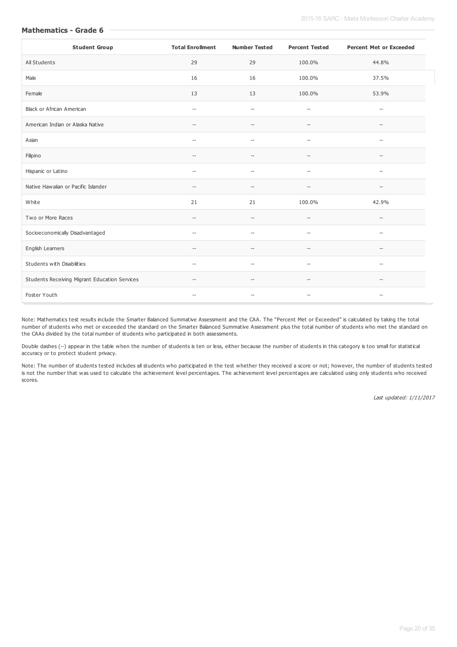| <b>Student Group</b>                          | <b>Total Enrollment</b>                             | <b>Number Tested</b>                                | <b>Percent Tested</b>                               | <b>Percent Met or Exceeded</b>                      |
|-----------------------------------------------|-----------------------------------------------------|-----------------------------------------------------|-----------------------------------------------------|-----------------------------------------------------|
| All Students                                  | 29                                                  | 29                                                  | 100.0%                                              | 44.8%                                               |
| Male                                          | 16                                                  | 16                                                  | 100.0%                                              | 37.5%                                               |
| Female                                        | 13                                                  | 13                                                  | 100.0%                                              | 53.9%                                               |
| <b>Black or African American</b>              | $\hspace{0.05cm} -\hspace{0.05cm}$                  | $\hspace{0.05cm} -\hspace{0.05cm} -\hspace{0.05cm}$ | $\hspace{0.05cm} -\hspace{0.05cm} -\hspace{0.05cm}$ | $\hspace{0.05cm} -\hspace{0.05cm} -\hspace{0.05cm}$ |
| American Indian or Alaska Native              | $\hspace{0.05cm} -\hspace{0.05cm} -\hspace{0.05cm}$ | $-\!$                                               | $-\hbox{--}$                                        | $-\!$                                               |
| Asian                                         | $\hspace{0.05cm} -\hspace{0.05cm}$                  | $-\!$                                               | $\hspace{0.05cm} -\hspace{0.05cm} -\hspace{0.05cm}$ | $\hspace{0.05cm} -\hspace{0.05cm} -\hspace{0.05cm}$ |
| Filipino                                      | $\hspace{0.05cm}--\hspace{0.05cm}$                  | $\overline{\phantom{a}}$                            | $\hspace{0.05cm} -\hspace{0.05cm} -\hspace{0.05cm}$ | $\qquad \qquad -$                                   |
| Hispanic or Latino                            | $\overline{\phantom{a}}$                            | $\overline{\phantom{a}}$                            | $\hspace{0.05cm} -\hspace{0.05cm} -\hspace{0.05cm}$ | $\overline{\phantom{a}}$                            |
| Native Hawaiian or Pacific Islander           | $\hspace{0.05cm} \ldots$                            | $\hspace{0.05cm} -$                                 | $\hspace{0.05cm} -\hspace{0.05cm} -\hspace{0.05cm}$ | $\hspace{0.05cm} -$                                 |
| White                                         | 21                                                  | 21                                                  | 100.0%                                              | 42.9%                                               |
| Two or More Races                             | $\hspace{0.05cm} -\hspace{0.05cm} -\hspace{0.05cm}$ | $\hspace{0.05cm} -\hspace{0.05cm} -\hspace{0.05cm}$ | $\hspace{0.05cm} -\hspace{0.05cm} -\hspace{0.05cm}$ | $\hspace{0.05cm} -\hspace{0.05cm} -\hspace{0.05cm}$ |
| Socioeconomically Disadvantaged               | $\overline{\phantom{a}}$                            | $\overline{\phantom{a}}$                            | $\overline{\phantom{a}}$                            | $\hspace{0.05cm} \ldots$                            |
| English Learners                              | $-$                                                 | --                                                  | $\overline{\phantom{a}}$                            | $\overline{\phantom{a}}$                            |
| Students with Disabilities                    | $\hspace{0.05cm} \ldots$                            | $\overline{\phantom{a}}$                            | $\hspace{0.05cm} \ldots$                            | $\overline{\phantom{a}}$                            |
| Students Receiving Migrant Education Services | $\hspace{0.05cm} -\hspace{0.05cm} -\hspace{0.05cm}$ | $\hspace{0.05cm} -\hspace{0.05cm} -\hspace{0.05cm}$ | $\hspace{0.05cm} -\hspace{0.05cm} -\hspace{0.05cm}$ | $\hspace{0.05cm} -\hspace{0.05cm} -\hspace{0.05cm}$ |
| Foster Youth                                  | $\hspace{0.05cm} -\hspace{0.05cm} -\hspace{0.05cm}$ | $\hspace{0.05cm} -\hspace{0.05cm} -\hspace{0.05cm}$ | $\hspace{0.05cm} -\hspace{0.05cm} -\hspace{0.05cm}$ | $\overline{\phantom{a}}$                            |

Note: Mathematics test results include the Smarter Balanced Summative Assessment and the CAA. The "Percent Met or Exceeded" is calculated by taking the total number of students who met or exceeded the standard on the Smarter Balanced Summative Assessment plus the total number of students who met the standard on the CAAs divided by the total number of students who participated in both assessments.

Double dashes (--) appear in the table when the number of students is ten or less, either because the number of students in this category is too small for statistical accuracy or to protect student privacy.

Note: The number of students tested includes all students who participated in the test whether they received a score or not; however, the number of students tested is not the number that was used to calculate the achievement level percentages. The achievement level percentages are calculated using only students who received scores.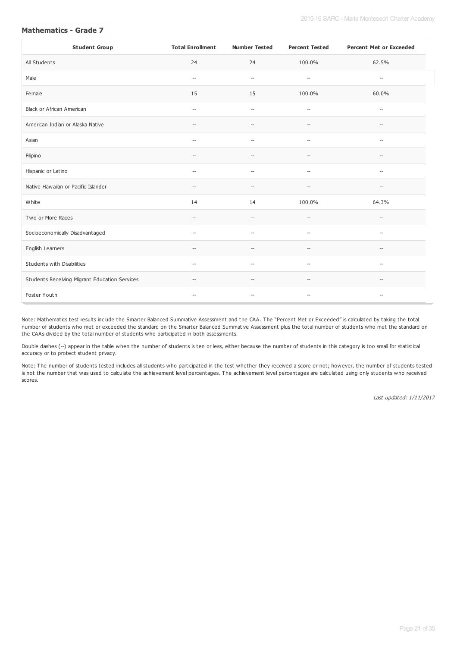| <b>Student Group</b>                          | <b>Total Enrollment</b>            | <b>Number Tested</b>                                | <b>Percent Tested</b>                               | <b>Percent Met or Exceeded</b>                      |
|-----------------------------------------------|------------------------------------|-----------------------------------------------------|-----------------------------------------------------|-----------------------------------------------------|
| All Students                                  | 24                                 | 24                                                  | 100.0%                                              | 62.5%                                               |
| Male                                          | --                                 | $-\!$                                               | $\hspace{0.05cm} -\hspace{0.05cm} -\hspace{0.05cm}$ | $\hspace{0.05cm} -\hspace{0.05cm} -\hspace{0.05cm}$ |
| Female                                        | 15                                 | 15                                                  | 100.0%                                              | 60.0%                                               |
| Black or African American                     | $\hspace{0.05cm} -\hspace{0.05cm}$ | $\hspace{0.05cm} -\hspace{0.05cm} -\hspace{0.05cm}$ | $\hspace{0.05cm} -\hspace{0.05cm} -\hspace{0.05cm}$ | $-\!$                                               |
| American Indian or Alaska Native              | $\hspace{0.05cm}--\hspace{0.05cm}$ | $\qquad \qquad -$                                   | $-\!$                                               | $\hspace{0.05cm} -\hspace{0.05cm}$                  |
| Asian                                         | $\overline{\phantom{0}}$           | $\hspace{0.05cm} \ldots$                            | $\overline{\phantom{a}}$                            | $\hspace{0.05cm} -\hspace{0.05cm}$                  |
| Filipino                                      | $\hspace{0.05cm} -\hspace{0.05cm}$ | $\overline{\phantom{a}}$                            | $\hspace{0.05cm} -\hspace{0.05cm} -\hspace{0.05cm}$ | $-$                                                 |
| Hispanic or Latino                            | $\overline{\phantom{a}}$           | $\hspace{0.05cm} -$                                 | $\overline{\phantom{a}}$                            | $\overline{\phantom{a}}$                            |
| Native Hawaiian or Pacific Islander           | $\overline{\phantom{a}}$           | $\hspace{0.05cm} -\hspace{0.05cm} -\hspace{0.05cm}$ | $-\!$                                               | $\hspace{0.05cm} \ldots$                            |
| White                                         | 14                                 | 14                                                  | 100.0%                                              | 64.3%                                               |
| Two or More Races                             | $\hspace{0.05cm}--\hspace{0.05cm}$ | $\qquad \qquad -$                                   | $\hspace{0.05cm} -\hspace{0.05cm} -\hspace{0.05cm}$ | $-\!$                                               |
| Socioeconomically Disadvantaged               | $\overline{\phantom{a}}$           | $\hspace{0.05cm} \ldots$                            | $\hspace{0.05cm} -\hspace{0.05cm} -\hspace{0.05cm}$ | $\hspace{0.05cm} \ldots$                            |
| English Learners                              | $\hspace{0.05cm} -\hspace{0.05cm}$ | $\sim$                                              | $\hspace{0.05cm} -\hspace{0.05cm} -\hspace{0.05cm}$ | $\sim$                                              |
| Students with Disabilities                    | $\hspace{0.05cm} -\hspace{0.05cm}$ | $\hspace{0.05cm} -\hspace{0.05cm} -\hspace{0.05cm}$ | $-\!$                                               | $\hspace{0.05cm} -\hspace{0.05cm} -\hspace{0.05cm}$ |
| Students Receiving Migrant Education Services | --                                 | $-\!$                                               | $-\!$                                               | $\hspace{0.05cm} -\hspace{0.05cm} -\hspace{0.05cm}$ |
| Foster Youth                                  | $\hspace{0.05cm} -\hspace{0.05cm}$ | $\hspace{0.05cm} -\hspace{0.05cm}$                  | $-\!$                                               | $\hspace{0.05cm} -\hspace{0.05cm} -\hspace{0.05cm}$ |

Note: Mathematics test results include the Smarter Balanced Summative Assessment and the CAA. The "Percent Met or Exceeded" is calculated by taking the total number of students who met or exceeded the standard on the Smarter Balanced Summative Assessment plus the total number of students who met the standard on the CAAs divided by the total number of students who participated in both assessments.

Double dashes (--) appear in the table when the number of students is ten or less, either because the number of students in this category is too small for statistical accuracy or to protect student privacy.

Note: The number of students tested includes all students who participated in the test whether they received a score or not; however, the number of students tested is not the number that was used to calculate the achievement level percentages. The achievement level percentages are calculated using only students who received scores.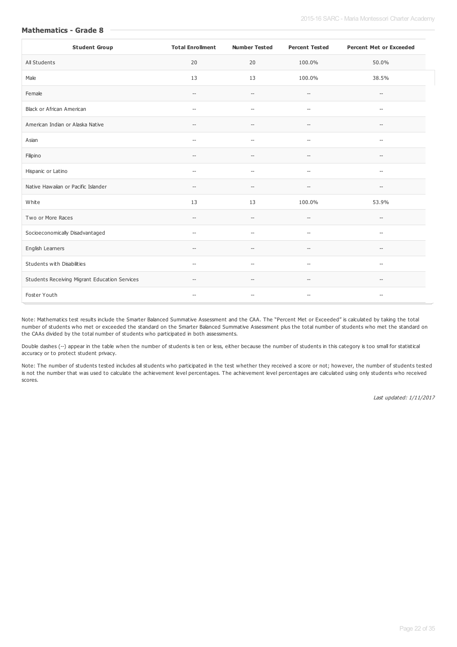| <b>Student Group</b>                          | <b>Total Enrollment</b>                             | <b>Number Tested</b>                                | <b>Percent Tested</b>                               | <b>Percent Met or Exceeded</b>                      |
|-----------------------------------------------|-----------------------------------------------------|-----------------------------------------------------|-----------------------------------------------------|-----------------------------------------------------|
| All Students                                  | 20                                                  | 20                                                  | 100.0%                                              | 50.0%                                               |
| Male                                          | 13                                                  | 13                                                  | 100.0%                                              | 38.5%                                               |
| Female                                        | $\hspace{0.05cm} -\hspace{0.05cm}$                  | $\hspace{0.05cm} -\hspace{0.05cm} -\hspace{0.05cm}$ | $\hspace{0.05cm} -\hspace{0.05cm} -\hspace{0.05cm}$ | $-\!$                                               |
| Black or African American                     | $\hspace{0.05cm} -\hspace{0.05cm}$                  | $\overline{\phantom{a}}$                            | $\hspace{0.05cm} \ldots$                            | $\hspace{0.05cm} -$                                 |
| American Indian or Alaska Native              | $\hspace{0.05cm} -\hspace{0.05cm} -\hspace{0.05cm}$ | $\overline{\phantom{a}}$                            | $\hspace{0.05cm} -\hspace{0.05cm} -\hspace{0.05cm}$ | $\qquad \qquad -$                                   |
| Asian                                         | $-$                                                 | $\overline{\phantom{a}}$                            | $\overline{\phantom{a}}$                            | $\overline{\phantom{a}}$                            |
| Filipino                                      | $\hspace{0.05cm} -\hspace{0.05cm}$                  | --                                                  | $\hspace{0.05cm} -\hspace{0.05cm} -\hspace{0.05cm}$ | $\hspace{0.05cm} -\hspace{0.05cm} -\hspace{0.05cm}$ |
| Hispanic or Latino                            | $\hspace{0.05cm} -\hspace{0.05cm}$                  | $\overline{\phantom{a}}$                            | $\overline{\phantom{a}}$                            | $\overline{\phantom{a}}$                            |
| Native Hawaiian or Pacific Islander           | $\hspace{0.05cm} -\hspace{0.05cm} -\hspace{0.05cm}$ | $\overline{\phantom{a}}$                            | $-$                                                 | $\hspace{0.05cm} -\hspace{0.05cm} -\hspace{0.05cm}$ |
| White                                         | 13                                                  | 13                                                  | 100.0%                                              | 53.9%                                               |
| Two or More Races                             | $\hspace{0.05cm} -\hspace{0.05cm} -\hspace{0.05cm}$ | $\hspace{0.05cm} -\hspace{0.05cm} -\hspace{0.05cm}$ | $\hspace{0.05cm} -\hspace{0.05cm} -\hspace{0.05cm}$ | $\hspace{0.05cm} -\hspace{0.05cm} -\hspace{0.05cm}$ |
| Socioeconomically Disadvantaged               | $\hspace{0.05cm} -\hspace{0.05cm}$                  | $\hspace{0.05cm} -$                                 | $\overline{\phantom{a}}$                            | $\hspace{0.05cm} -$                                 |
| English Learners                              | $-$                                                 | $\sim$                                              | $-$                                                 | $\sim$                                              |
| Students with Disabilities                    | $\hspace{0.05cm} -\hspace{0.05cm}$                  | $\hspace{0.05cm} -\hspace{0.05cm} -\hspace{0.05cm}$ | $\overline{\phantom{a}}$                            | $-\!$                                               |
| Students Receiving Migrant Education Services | $\hspace{0.05cm} -\hspace{0.05cm} -\hspace{0.05cm}$ | --                                                  | $\hspace{0.05cm} -\hspace{0.05cm} -\hspace{0.05cm}$ | $\hspace{0.05cm} -\hspace{0.05cm}$                  |
| Foster Youth                                  | $\hspace{0.05cm} -\hspace{0.05cm}$                  | $\overline{\phantom{a}}$                            | $\hspace{0.05cm} -\hspace{0.05cm} -\hspace{0.05cm}$ | $\hspace{0.05cm} -\hspace{0.05cm} -\hspace{0.05cm}$ |

Note: Mathematics test results include the Smarter Balanced Summative Assessment and the CAA. The "Percent Met or Exceeded" is calculated by taking the total number of students who met or exceeded the standard on the Smarter Balanced Summative Assessment plus the total number of students who met the standard on the CAAs divided by the total number of students who participated in both assessments.

Double dashes (--) appear in the table when the number of students is ten or less, either because the number of students in this category is too small for statistical accuracy or to protect student privacy.

Note: The number of students tested includes all students who participated in the test whether they received a score or not; however, the number of students tested is not the number that was used to calculate the achievement level percentages. The achievement level percentages are calculated using only students who received scores.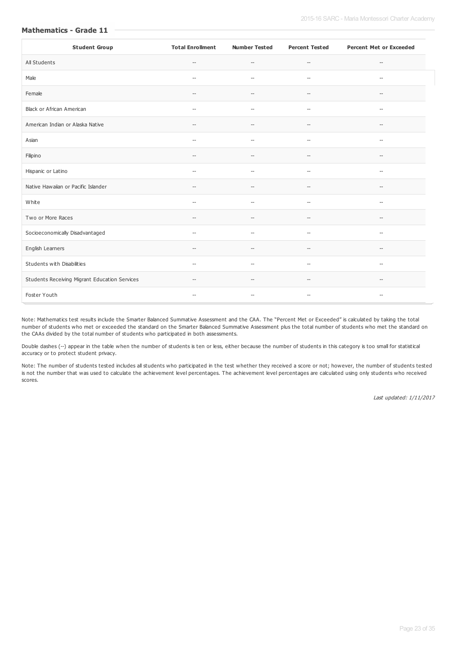| <b>Student Group</b>                          | <b>Total Enrollment</b>                             | <b>Number Tested</b>                                | <b>Percent Tested</b>                               | <b>Percent Met or Exceeded</b>                      |
|-----------------------------------------------|-----------------------------------------------------|-----------------------------------------------------|-----------------------------------------------------|-----------------------------------------------------|
| All Students                                  | $\hspace{0.05cm} -\hspace{0.05cm} -\hspace{0.05cm}$ | $\hspace{0.05cm} -\hspace{0.05cm} -\hspace{0.05cm}$ | $-\!$                                               | $\hspace{0.05cm} -\hspace{0.05cm} -\hspace{0.05cm}$ |
| Male                                          | $\hspace{0.05cm} -$                                 | $\sim$                                              | $\overline{\phantom{a}}$                            | $\hspace{0.05cm} -$                                 |
| Female                                        | $\hspace{0.05cm} -$                                 | $\hspace{0.05cm} -\hspace{0.05cm} -\hspace{0.05cm}$ | $\hspace{0.05cm} -$                                 | $\hspace{0.05cm} -\hspace{0.05cm} -\hspace{0.05cm}$ |
| Black or African American                     | $\overline{\phantom{a}}$                            | $\sim$                                              | $-$                                                 | $\hspace{0.05cm} -$                                 |
| American Indian or Alaska Native              | $\hspace{0.05cm} -\hspace{0.05cm} -\hspace{0.05cm}$ | $-\!$                                               | $\hspace{0.05cm} -\hspace{0.05cm} -\hspace{0.05cm}$ | $\hspace{0.05cm} -\hspace{0.05cm} -\hspace{0.05cm}$ |
| Asian                                         | $\hspace{0.05cm} -\hspace{0.05cm} -\hspace{0.05cm}$ | $\hspace{0.05cm} -$                                 | $\overline{\phantom{a}}$                            | $\hspace{0.05cm} -\hspace{0.05cm}$                  |
| Filipino                                      | $\qquad \qquad -$                                   | $-$                                                 | $\overline{\phantom{a}}$                            | $\hspace{0.05cm}$ – $\hspace{0.05cm}$               |
| Hispanic or Latino                            | $\hspace{0.05cm} -\hspace{0.05cm} -\hspace{0.05cm}$ | $\hspace{0.05cm} \ldots$                            | $\overline{\phantom{a}}$                            | $\hspace{0.05cm} -\hspace{0.05cm} -\hspace{0.05cm}$ |
| Native Hawaiian or Pacific Islander           | $\hspace{0.05cm} -$                                 | $-$                                                 | $\hspace{0.05cm} -\hspace{0.05cm} -\hspace{0.05cm}$ | $\hspace{0.05cm} -\hspace{0.05cm} -\hspace{0.05cm}$ |
| White                                         | $\hspace{0.05cm} -$                                 | $\sim$                                              | $\overline{\phantom{a}}$                            | $\hspace{0.05cm} -$                                 |
| Two or More Races                             | $\hspace{0.05cm} -\hspace{0.05cm} -\hspace{0.05cm}$ | $\hspace{0.05cm} -\hspace{0.05cm} -\hspace{0.05cm}$ | $\hspace{0.05cm} -\hspace{0.05cm} -\hspace{0.05cm}$ | $\hspace{0.05cm} -\hspace{0.05cm} -\hspace{0.05cm}$ |
| Socioeconomically Disadvantaged               | $\hspace{0.05cm} -$                                 | $-$                                                 | $\overline{\phantom{a}}$                            | $\hspace{0.05cm} -$                                 |
| English Learners                              | $\hspace{0.05cm} -$                                 | --                                                  | $\overline{\phantom{a}}$                            | $\overline{\phantom{a}}$                            |
| Students with Disabilities                    | $\hspace{0.05cm} -\hspace{0.05cm} -\hspace{0.05cm}$ | $\overline{\phantom{a}}$                            | $\hspace{0.05cm} -\hspace{0.05cm} -\hspace{0.05cm}$ | $\hspace{0.05cm} -\hspace{0.05cm} -\hspace{0.05cm}$ |
| Students Receiving Migrant Education Services | $\hspace{0.05cm} -\hspace{0.05cm} -\hspace{0.05cm}$ | $-$                                                 | $\overline{\phantom{a}}$                            | $\hspace{0.05cm} -$                                 |
| Foster Youth                                  | $\hspace{0.05cm} -\hspace{0.05cm}$                  | $\hspace{0.05cm} -\hspace{0.05cm}$                  | $-\,$                                               | $\hspace{0.05cm} -\hspace{0.05cm} -\hspace{0.05cm}$ |

Note: Mathematics test results include the Smarter Balanced Summative Assessment and the CAA. The "Percent Met or Exceeded" is calculated by taking the total number of students who met or exceeded the standard on the Smarter Balanced Summative Assessment plus the total number of students who met the standard on the CAAs divided by the total number of students who participated in both assessments.

Double dashes (--) appear in the table when the number of students is ten or less, either because the number of students in this category is too small for statistical accuracy or to protect student privacy.

Note: The number of students tested includes all students who participated in the test whether they received a score or not; however, the number of students tested is not the number that was used to calculate the achievement level percentages. The achievement level percentages are calculated using only students who received scores.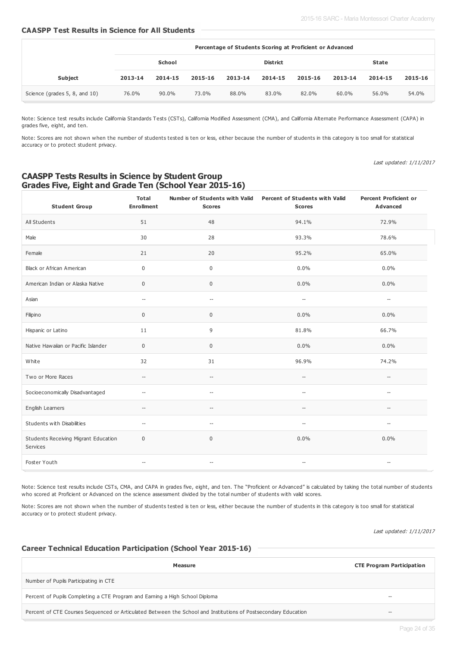#### **CAASPP Test Results in Science for All Students**

|                               | Percentage of Students Scoring at Proficient or Advanced |         |         |                 |         |         |         |         |         |  |
|-------------------------------|----------------------------------------------------------|---------|---------|-----------------|---------|---------|---------|---------|---------|--|
|                               |                                                          | School  |         | <b>District</b> |         |         | State   |         |         |  |
| <b>Subject</b>                | 2013-14                                                  | 2014-15 | 2015-16 | 2013-14         | 2014-15 | 2015-16 | 2013-14 | 2014-15 | 2015-16 |  |
| Science (grades 5, 8, and 10) | 76.0%                                                    | 90.0%   | 73.0%   | 88.0%           | 83.0%   | 82.0%   | 60.0%   | 56.0%   | 54.0%   |  |

Note: Science test results include California Standards Tests (CSTs), California Modified Assessment (CMA), and California Alternate Performance Assessment (CAPA) in grades five, eight, and ten.

Note: Scores are not shown when the number of students tested is ten or less, either because the number of students in this category is too small for statistical accuracy or to protect student privacy.

Last updated: 1/11/2017

#### **CAASPP Tests Results in Science by Student Group Grades Five, Eight and Grade Ten (School Year 2015-16)**

| <b>Student Group</b>                             | <b>Total</b><br><b>Enrollment</b>                   | <b>Scores</b>                                       | Number of Students with Valid Percent of Students with Valid<br><b>Scores</b> | <b>Percent Proficient or</b><br>Advanced            |
|--------------------------------------------------|-----------------------------------------------------|-----------------------------------------------------|-------------------------------------------------------------------------------|-----------------------------------------------------|
| All Students                                     | 51                                                  | 48                                                  | 94.1%                                                                         | 72.9%                                               |
| Male                                             | 30                                                  | 28                                                  | 93.3%                                                                         | 78.6%                                               |
| Female                                           | 21                                                  | 20                                                  | 95.2%                                                                         | 65.0%                                               |
| Black or African American                        | 0                                                   | $\mathsf 0$                                         | $0.0\%$                                                                       | $0.0\%$                                             |
| American Indian or Alaska Native                 | $\mathsf{O}$                                        | $\mathsf 0$                                         | $0.0\%$                                                                       | 0.0%                                                |
| Asian                                            | $\hspace{0.05cm} -\hspace{0.05cm} -\hspace{0.05cm}$ | $\hspace{0.05cm} -\hspace{0.05cm} -\hspace{0.05cm}$ | $\hspace{0.05cm} -\hspace{0.05cm} -\hspace{0.05cm}$                           | $\hspace{0.05cm} -\hspace{0.05cm} -\hspace{0.05cm}$ |
| Filipino                                         | 0                                                   | $\mathbf 0$                                         | 0.0%                                                                          | $0.0\%$                                             |
| Hispanic or Latino                               | 11                                                  | 9                                                   | 81.8%                                                                         | 66.7%                                               |
| Native Hawaiian or Pacific Islander              | 0                                                   | $\mathbf 0$                                         | 0.0%                                                                          | $0.0\%$                                             |
| White                                            | 32                                                  | 31                                                  | 96.9%                                                                         | 74.2%                                               |
| Two or More Races                                | $\hspace{0.05cm} -\hspace{0.05cm} -\hspace{0.05cm}$ | $-\!$                                               | $\hspace{0.05cm} -\hspace{0.05cm} -\hspace{0.05cm}$                           | $-\!$                                               |
| Socioeconomically Disadvantaged                  | $\hspace{0.05cm} -\hspace{0.05cm} -\hspace{0.05cm}$ | $\hspace{0.05cm} -\hspace{0.05cm} -\hspace{0.05cm}$ | $\hspace{0.05cm} -\hspace{0.05cm} -\hspace{0.05cm}$                           | $\hspace{0.05cm} -\hspace{0.05cm} -\hspace{0.05cm}$ |
| English Learners                                 | $-\!$                                               | $-\!$                                               | $-\!$                                                                         | $-\!$                                               |
| Students with Disabilities                       | $\hspace{0.05cm} -\hspace{0.05cm} -\hspace{0.05cm}$ | $\hspace{0.05cm} -\hspace{0.05cm} -\hspace{0.05cm}$ | $\overline{\phantom{a}}$                                                      | $\overline{\phantom{a}}$                            |
| Students Receiving Migrant Education<br>Services | 0                                                   | $\boldsymbol{0}$                                    | 0.0%                                                                          | 0.0%                                                |
| Foster Youth                                     | $\overline{\phantom{a}}$                            | $\hspace{0.05cm} -\hspace{0.05cm} -\hspace{0.05cm}$ | $-\!$                                                                         | $\hspace{0.05cm} -\hspace{0.05cm} -\hspace{0.05cm}$ |

Note: Science test results include CSTs, CMA, and CAPA in grades five, eight, and ten. The "Proficient or Advanced" is calculated by taking the total number of students who scored at Proficient or Advanced on the science assessment divided by the total number of students with valid scores.

Note: Scores are not shown when the number of students tested is ten or less, either because the number of students in this category is too small for statistical accuracy or to protect student privacy.

Last updated: 1/11/2017

#### **Career Technical Education Participation (School Year 2015-16)**

| Measure                                                                                                        | <b>CTE Program Participation</b> |
|----------------------------------------------------------------------------------------------------------------|----------------------------------|
| Number of Pupils Participating in CTE                                                                          |                                  |
| Percent of Pupils Completing a CTE Program and Earning a High School Diploma                                   | --                               |
| Percent of CTE Courses Sequenced or Articulated Between the School and Institutions of Postsecondary Education | $\hspace{0.05cm} \cdots$         |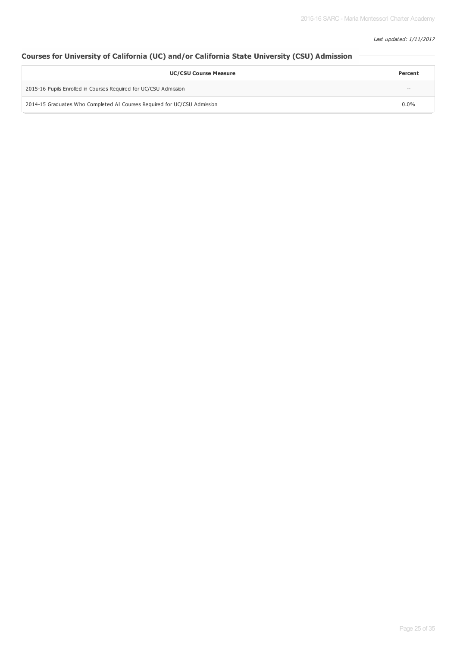$\overline{\phantom{a}}$ 

#### Last updated: 1/11/2017

## **Courses for University of California (UC) and/or California State University (CSU) Admission**

| <b>UC/CSU Course Measure</b>                                              | Percent |
|---------------------------------------------------------------------------|---------|
| 2015-16 Pupils Enrolled in Courses Required for UC/CSU Admission          | $- -$   |
| 2014-15 Graduates Who Completed All Courses Required for UC/CSU Admission | $0.0\%$ |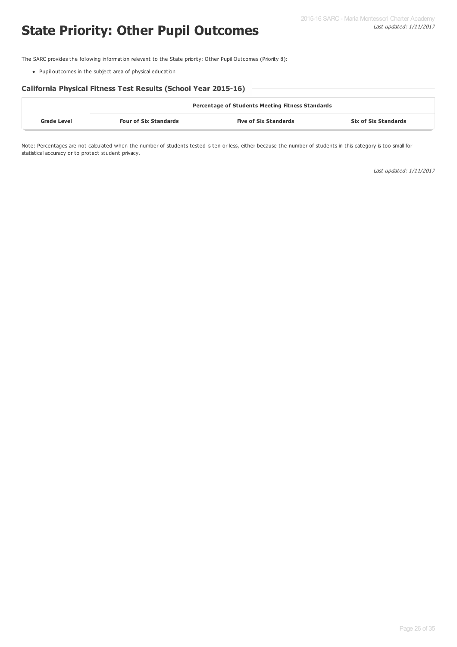The SARC provides the following information relevant to the State priority: Other Pupil Outcomes (Priority 8):

Pupil outcomes in the subject area of physical education

#### **California Physical Fitness Test Results (School Year 2015-16)**

|             |                              | <b>Percentage of Students Meeting Fitness Standards</b> |                             |
|-------------|------------------------------|---------------------------------------------------------|-----------------------------|
| Grade Level | <b>Four of Six Standards</b> | <b>Five of Six Standards</b>                            | <b>Six of Six Standards</b> |

Note: Percentages are not calculated when the number of students tested is ten or less, either because the number of students in this category is too small for statistical accuracy or to protect student privacy.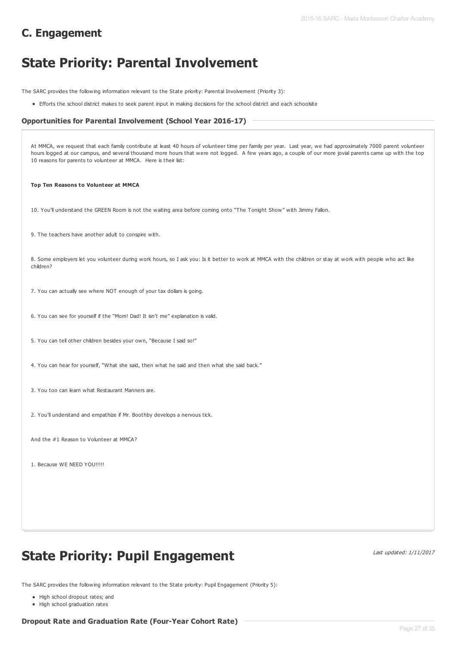# **C. Engagement**

# **State Priority: Parental Involvement**

The SARC provides the following information relevant to the State priority: Parental Involvement (Priority 3):

Efforts the school district makes to seek parent input in making decisions for the school district and each schoolsite

#### **Opportunities for Parental Involvement (School Year 2016-17)**

At MMCA, we request that each family contribute at least 40 hours of volunteer time per family per year. Last year, we had approximately 7000 parent volunteer hours logged at our campus, and several thousand more hours that were not logged. A few years ago, a couple of our more jovial parents came up with the top 10 reasons for parents to volunteer at MMCA. Here is their list:

#### **Top Ten Reasons to Volunteer at MMCA**

10. You'll understand the GREEN Room is not the waiting area before coming onto "The Tonight Show" with Jimmy Fallon.

9. The teachers have another adult to conspire with.

8. Some employers let you volunteer during work hours, so I ask you: Is it better to work at MMCA with the children or stay at work with people who act like children?

- 7. You can actually see where NOT enough of your tax dollars is going.
- 6. You can see for yourself if the "Mom! Dad! It isn't me" explanation is valid.
- 5. You can tell other children besides your own, "Because I said so!"
- 4. You can hear for yourself, "What she said, then what he said and then what she said back."
- 3. You too can learn what Restaurant Manners are.
- 2. You'll understand and empathize if Mr. Boothby develops a nervous tick.
- And the #1 Reason to Volunteer at MMCA?
- 1. Because WE NEED YOU!!!!!

# **State Priority: Pupil Engagement**

#### Last updated: 1/11/2017

The SARC provides the following information relevant to the State priority: Pupil Engagement (Priority 5):

- High school dropout rates; and
- High school graduation rates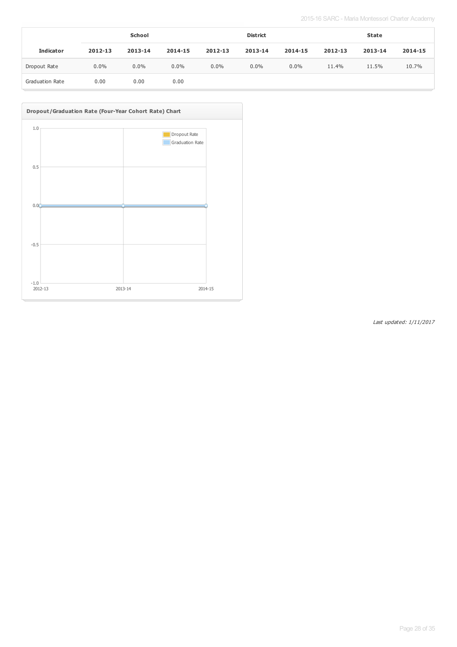|                        | School  |         |         |         | <b>District</b> |         | <b>State</b> |         |         |
|------------------------|---------|---------|---------|---------|-----------------|---------|--------------|---------|---------|
| <b>Indicator</b>       | 2012-13 | 2013-14 | 2014-15 | 2012-13 | 2013-14         | 2014-15 | 2012-13      | 2013-14 | 2014-15 |
| Dropout Rate           | $0.0\%$ | $0.0\%$ | $0.0\%$ | $0.0\%$ | $0.0\%$         | $0.0\%$ | 11.4%        | 11.5%   | 10.7%   |
| <b>Graduation Rate</b> | 0.00    | 0.00    | 0.00    |         |                 |         |              |         |         |

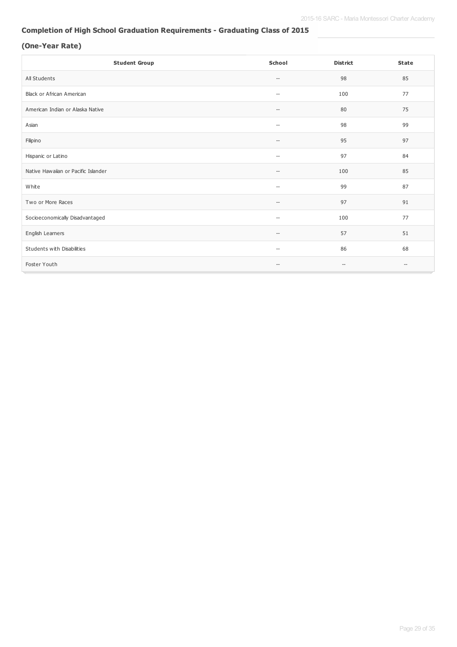### **Completion of High School Graduation Requirements - Graduating Class of 2015**

## **(One-Year Rate)**

| <b>Student Group</b>                | School                                              | <b>District</b>                                     | <b>State</b>             |
|-------------------------------------|-----------------------------------------------------|-----------------------------------------------------|--------------------------|
| All Students                        | $\hspace{0.05cm} -\hspace{0.05cm} -\hspace{0.05cm}$ | 98                                                  | 85                       |
| Black or African American           | $\overline{\phantom{a}}$                            | 100                                                 | 77                       |
| American Indian or Alaska Native    | $-\!$                                               | 80                                                  | 75                       |
| Asian                               | $-\,$                                               | 98                                                  | 99                       |
| Filipino                            | $-\!$                                               | 95                                                  | 97                       |
| Hispanic or Latino                  | $\hspace{0.05cm} \ldots$                            | 97                                                  | 84                       |
| Native Hawaiian or Pacific Islander | $-\!$                                               | 100                                                 | 85                       |
| White                               | $\hspace{0.05cm} \ldots$                            | 99                                                  | 87                       |
| Two or More Races                   | $-\!$                                               | 97                                                  | 91                       |
| Socioeconomically Disadvantaged     | $\hspace{0.05cm} \ldots$                            | 100                                                 | 77                       |
| English Learners                    | $\hspace{0.05cm} -$                                 | 57                                                  | 51                       |
| Students with Disabilities          | $-\!$                                               | 86                                                  | 68                       |
| Foster Youth                        | $-\!$                                               | $\hspace{0.05cm} -\hspace{0.05cm} -\hspace{0.05cm}$ | $\hspace{0.05cm} \ldots$ |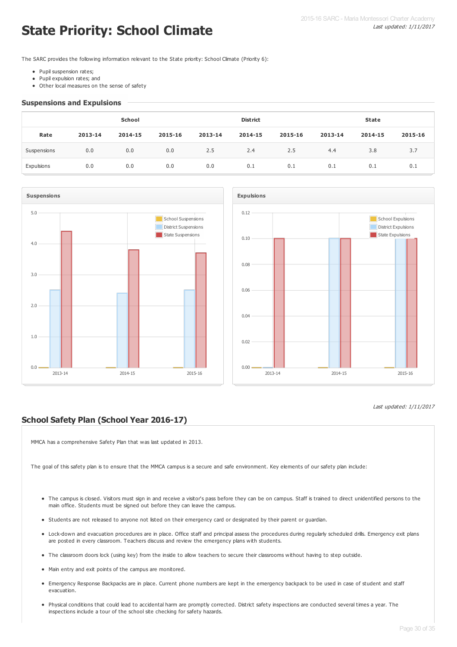# **State Priority: School Climate**

The SARC provides the following information relevant to the State priority: School Climate (Priority 6):

- Pupil suspension rates;
- Pupil expulsion rates; and
- Other local measures on the sense of safety

#### **Suspensions and Expulsions**

| School      |         |         |         | <b>District</b> |         | <b>State</b> |         |         |         |
|-------------|---------|---------|---------|-----------------|---------|--------------|---------|---------|---------|
| Rate        | 2013-14 | 2014-15 | 2015-16 | 2013-14         | 2014-15 | 2015-16      | 2013-14 | 2014-15 | 2015-16 |
| Suspensions | 0.0     | 0.0     | 0.0     | 2.5             | 2.4     | 2.5          | 4.4     | 3.8     | 3.7     |
| Expulsions  | 0.0     | 0.0     | 0.0     | 0.0             | 0.1     | 0.1          | 0.1     | 0.1     | 0.1     |





## **School Safety Plan (School Year 2016-17)**

MMCA has a comprehensive Safety Plan that was last updated in 2013.

The goal of this safety plan is to ensure that the MMCA campus is a secure and safe environment. Key elements of our safety plan include:

- The campus is closed. Visitors must sign in and receive a visitor's pass before they can be on campus. Staff is trained to direct unidentified persons to the main office. Students must be signed out before they can leave the campus.
- Students are not released to anyone not listed on their emergency card or designated by their parent or guardian.
- Lock-down and evacuation procedures are in place. Office staff and principal assess the procedures during regularly scheduled drills. Emergency exit plans are posted in every classroom. Teachers discuss and review the emergency plans with students.
- The classroom doors lock (using key) from the inside to allow teachers to secure their classrooms without having to step outside.
- Main entry and exit points of the campus are monitored.
- Emergency Response Backpacks are in place. Current phone numbers are kept in the emergency backpack to be used in case of student and staff evacuation.
- Physical conditions that could lead to accidental harm are promptly corrected. District safety inspections are conducted several times a year. The inspections include a tour of the school site checking for safety hazards.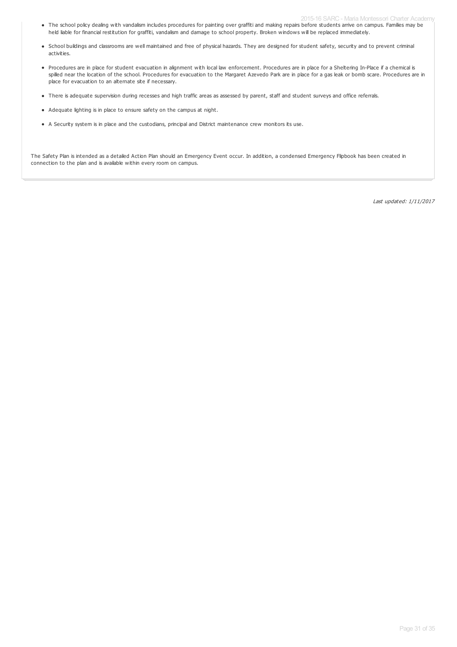- The school policy dealing with vandalism includes procedures for painting over graffiti and making repairs before students arrive on campus. Families may be held liable for financial restitution for graffiti, vandalism and damage to school property. Broken windows will be replaced immediately.
- School buildings and classrooms are well maintained and free of physical hazards. They are designed for student safety, security and to prevent criminal activities.
- Procedures are in place for student evacuation in alignment with local law enforcement. Procedures are in place for a Sheltering In-Place if a chemical is spilled near the location of the school. Procedures for evacuation to the Margaret Azevedo Park are in place for a gas leak or bomb scare. Procedures are in place for evacuation to an alternate site if necessary.
- There is adequate supervision during recesses and high traffic areas as assessed by parent, staff and student surveys and office referrals.
- Adequate lighting is in place to ensure safety on the campus at night.
- A Security system is in place and the custodians, principal and District maintenance crew monitors its use.

The Safety Plan is intended as a detailed Action Plan should an Emergency Event occur. In addition, a condensed Emergency Flipbook has been created in connection to the plan and is available within every room on campus.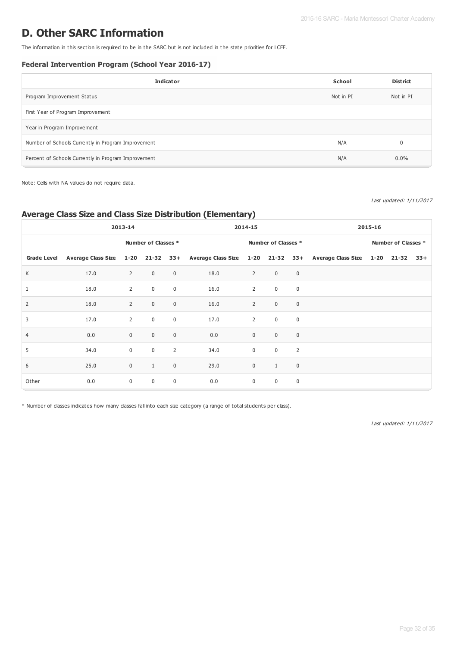# **D. Other SARC Information**

The information in this section is required to be in the SARC but is not included in the state priorities for LCFF.

#### **Federal Intervention Program (School Year 2016-17)**

| <b>Indicator</b>                                    | School    | <b>District</b> |
|-----------------------------------------------------|-----------|-----------------|
| Program Improvement Status                          | Not in PI | Not in PI       |
| First Year of Program Improvement                   |           |                 |
| Year in Program Improvement                         |           |                 |
| Number of Schools Currently in Program Improvement  | N/A       | 0               |
| Percent of Schools Currently in Program Improvement | N/A       | $0.0\%$         |

Note: Cells with NA values do not require data.

Last updated: 1/11/2017

## **Average Class Size and Class Size Distribution (Elementary)**

| 2013-14            |      |                |                     | 2014-15        |      |                |                     | 2015-16     |                                                                                             |  |                     |  |
|--------------------|------|----------------|---------------------|----------------|------|----------------|---------------------|-------------|---------------------------------------------------------------------------------------------|--|---------------------|--|
|                    |      |                | Number of Classes * |                |      |                | Number of Classes * |             |                                                                                             |  | Number of Classes * |  |
| <b>Grade Level</b> |      |                |                     |                |      |                |                     |             | Average Class Size 1-20 21-32 33+ Average Class Size 1-20 21-32 33+ Average Class Size 1-20 |  | $21-32$ $33+$       |  |
| K                  | 17.0 | $\overline{2}$ | $\overline{0}$      | $\mathbf 0$    | 18.0 | $\overline{2}$ | $\mathbb O$         | $\mathbb O$ |                                                                                             |  |                     |  |
| $\mathbf{1}$       | 18.0 | $\overline{2}$ | $\mathbf 0$         | $\mathbf 0$    | 16.0 | $\overline{2}$ | $\mathsf 0$         | $\mathbf 0$ |                                                                                             |  |                     |  |
| $\overline{2}$     | 18.0 | $\overline{2}$ | $\overline{0}$      | $\mathbf 0$    | 16.0 | $\overline{2}$ | $\mathbb O$         | $\mathsf 0$ |                                                                                             |  |                     |  |
| 3                  | 17.0 | $\overline{2}$ | $\mathbf 0$         | $\mathbf 0$    | 17.0 | $\overline{2}$ | $\mathsf 0$         | $\mathbf 0$ |                                                                                             |  |                     |  |
| $\overline{4}$     | 0.0  | $\mathbf 0$    | $\mathbf 0$         | $\mathbf 0$    | 0.0  | $\mathbf 0$    | $\mathbb O$         | $\mathbf 0$ |                                                                                             |  |                     |  |
| 5                  | 34.0 | $\mathbf 0$    | $\mathbf 0$         | $\overline{2}$ | 34.0 | $\mathbf 0$    | $\mathbf 0$         | 2           |                                                                                             |  |                     |  |
| 6                  | 25.0 | $\mathbf 0$    | $\mathbf{1}$        | $\overline{0}$ | 29.0 | $\mathbf 0$    | $\mathbf{1}$        | $\mathbf 0$ |                                                                                             |  |                     |  |
| Other              | 0.0  | $\mathbf 0$    | 0                   | $\mathbf 0$    | 0.0  | $\mathbf 0$    | $\mathbf 0$         | $\mathbf 0$ |                                                                                             |  |                     |  |

\* Number of classes indicates how many classes fall into each size category (a range of total students per class).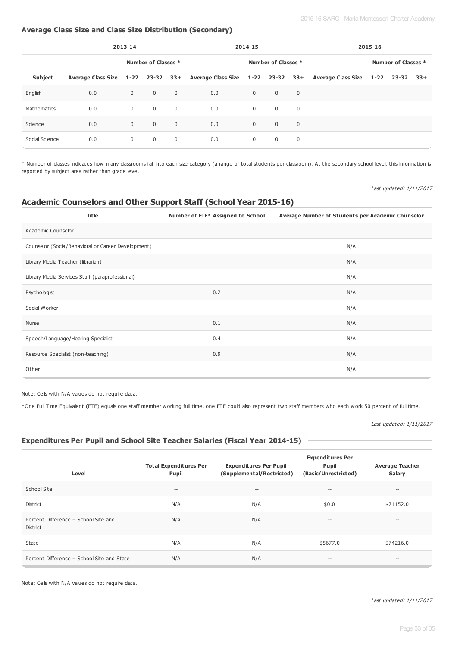#### **Average Class Size and Class Size Distribution (Secondary)**

| 2013-14        |     |                |                     | 2014-15                 |     |                |                     | 2015-16        |                                                                                                       |  |                     |  |
|----------------|-----|----------------|---------------------|-------------------------|-----|----------------|---------------------|----------------|-------------------------------------------------------------------------------------------------------|--|---------------------|--|
|                |     |                | Number of Classes * |                         |     |                | Number of Classes * |                |                                                                                                       |  | Number of Classes * |  |
| <b>Subject</b> |     |                |                     |                         |     |                |                     |                | Average Class Size 1-22 23-32 33+ Average Class Size 1-22 23-32 33+ Average Class Size 1-22 23-32 33+ |  |                     |  |
| English        | 0.0 | $\overline{0}$ | $\overline{0}$      | $\overline{0}$          | 0.0 | $\mathbf 0$    | $\mathbf 0$         | $\overline{0}$ |                                                                                                       |  |                     |  |
| Mathematics    | 0.0 | $\overline{0}$ | $\overline{0}$      | $\overline{\mathbf{0}}$ | 0.0 | $\mathbf 0$    | $\mathbf 0$         | $\mathbf 0$    |                                                                                                       |  |                     |  |
| Science        | 0.0 | $\mathbf 0$    | $\overline{0}$      | $\overline{0}$          | 0.0 | $\overline{0}$ | $\overline{0}$      | $\overline{0}$ |                                                                                                       |  |                     |  |
| Social Science | 0.0 | $\overline{0}$ | $\overline{0}$      | $\overline{0}$          | 0.0 | $\overline{0}$ | 0                   | $\mathbf 0$    |                                                                                                       |  |                     |  |

\* Number of classes indicates how many classrooms fall into each size category (a range of total students per classroom). At the secondary school level, this information is reported by subject area rather than grade level.

Last updated: 1/11/2017

#### **Academic Counselors and Other Support Staff (School Year 2015-16)**

| <b>Title</b>                                        | Number of FTE* Assigned to School | Average Number of Students per Academic Counselor |
|-----------------------------------------------------|-----------------------------------|---------------------------------------------------|
| Academic Counselor                                  |                                   |                                                   |
| Counselor (Social/Behavioral or Career Development) |                                   | N/A                                               |
| Library Media Teacher (librarian)                   |                                   | N/A                                               |
| Library Media Services Staff (paraprofessional)     |                                   | N/A                                               |
| Psychologist                                        | 0.2                               | N/A                                               |
| Social Worker                                       |                                   | N/A                                               |
| Nurse                                               | 0.1                               | N/A                                               |
| Speech/Language/Hearing Specialist                  | 0.4                               | N/A                                               |
| Resource Specialist (non-teaching)                  | 0.9                               | N/A                                               |
| Other                                               |                                   | N/A                                               |

Note: Cells with N/A values do not require data.

\*One Full Time Equivalent (FTE) equals one staff member working full time; one FTE could also represent two staff members who each work 50 percent of full time.

#### Last updated: 1/11/2017

#### **Expenditures Per Pupil and School Site Teacher Salaries (Fiscal Year 2014-15)**

| Level                                            | <b>Total Expenditures Per</b><br>Pupil              | <b>Expenditures Per Pupil</b><br>(Supplemental/Restricted) | <b>Expenditures Per</b><br>Pupil<br>(Basic/Unrestricted) | <b>Average Teacher</b><br><b>Salary</b> |
|--------------------------------------------------|-----------------------------------------------------|------------------------------------------------------------|----------------------------------------------------------|-----------------------------------------|
| School Site                                      | $\hspace{0.05cm} -\hspace{0.05cm} -\hspace{0.05cm}$ | $\qquad \qquad -$                                          | $-\,-$                                                   | $-\!$                                   |
| District                                         | N/A                                                 | N/A                                                        | \$0.0                                                    | \$71152.0                               |
| Percent Difference - School Site and<br>District | N/A                                                 | N/A                                                        | $-\,$ $-$                                                | $-\, -$                                 |
| State                                            | N/A                                                 | N/A                                                        | \$5677.0                                                 | \$74216.0                               |
| Percent Difference - School Site and State       | N/A                                                 | N/A                                                        | $-\,$ $-$                                                | $-\, -$                                 |

Note: Cells with N/A values do not require data.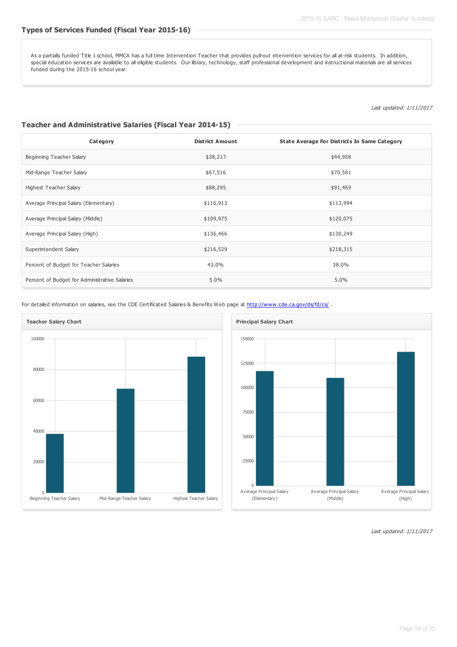#### **Types of Services Funded (Fiscal Year 2015-16)**

As a partially funded Title I school, MMCA has a full time Intervention Teacher that provides pull-out intervention services for all at-risk students. In addition, special education services are available to all eligible students. Our library, technology, staff professional development and instructional materials are all services funded during the 2015-16 school year.

#### **Teacher and Administrative Salaries (Fiscal Year 2014-15)**

| Category                                      | <b>District Amount</b> | <b>State Average For Districts In Same Category</b> |  |
|-----------------------------------------------|------------------------|-----------------------------------------------------|--|
| Beginning Teacher Salary                      | \$38,217               | \$44,958                                            |  |
| Mid-Range Teacher Salary                      | \$67,516               | \$70,581                                            |  |
| Highest Teacher Salary                        | \$88,295               | \$91,469                                            |  |
| Average Principal Salary (Elementary)         | \$116,913              | \$113,994                                           |  |
| Average Principal Salary (Middle)             | \$109,975              | \$120,075                                           |  |
| Average Principal Salary (High)               | \$136,466              | \$130,249                                           |  |
| Superintendent Salary                         | \$216,529              | \$218,315                                           |  |
| Percent of Budget for Teacher Salaries        | 43.0%                  | 38.0%                                               |  |
| Percent of Budget for Administrative Salaries | 5.0%                   | 5.0%                                                |  |

For detailed information on salaries, see the CDE Certificated Salaries & Benefits Web page at <http://www.cde.ca.gov/ds/fd/cs/> .